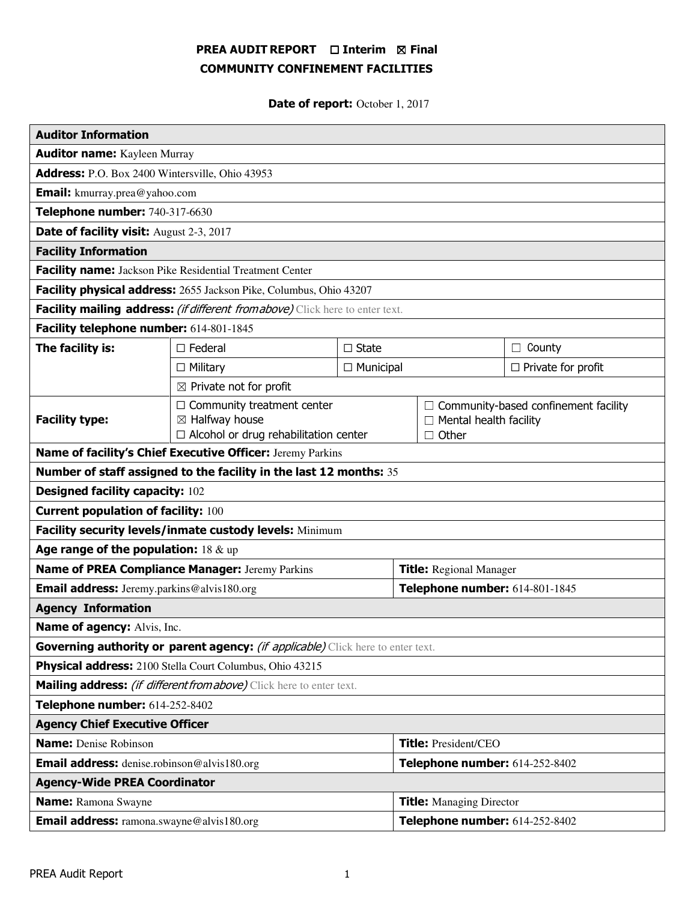# PREA AUDIT REPORT □ Interim 図 Final COMMUNITY CONFINEMENT FACILITIES

Date of report: October 1, 2017

| <b>Auditor Information</b>                                                             |                                                                                                                |              |                                 |                                                                                       |                           |  |
|----------------------------------------------------------------------------------------|----------------------------------------------------------------------------------------------------------------|--------------|---------------------------------|---------------------------------------------------------------------------------------|---------------------------|--|
| <b>Auditor name:</b> Kayleen Murray                                                    |                                                                                                                |              |                                 |                                                                                       |                           |  |
| Address: P.O. Box 2400 Wintersville, Ohio 43953                                        |                                                                                                                |              |                                 |                                                                                       |                           |  |
| <b>Email:</b> kmurray.prea@yahoo.com                                                   |                                                                                                                |              |                                 |                                                                                       |                           |  |
| Telephone number: 740-317-6630                                                         |                                                                                                                |              |                                 |                                                                                       |                           |  |
| Date of facility visit: August 2-3, 2017                                               |                                                                                                                |              |                                 |                                                                                       |                           |  |
| <b>Facility Information</b>                                                            |                                                                                                                |              |                                 |                                                                                       |                           |  |
| Facility name: Jackson Pike Residential Treatment Center                               |                                                                                                                |              |                                 |                                                                                       |                           |  |
| Facility physical address: 2655 Jackson Pike, Columbus, Ohio 43207                     |                                                                                                                |              |                                 |                                                                                       |                           |  |
| Facility mailing address: (if different from above) Click here to enter text.          |                                                                                                                |              |                                 |                                                                                       |                           |  |
| Facility telephone number: 614-801-1845                                                |                                                                                                                |              |                                 |                                                                                       |                           |  |
| The facility is:                                                                       | $\Box$ Federal                                                                                                 | $\Box$ State |                                 |                                                                                       | $\Box$ County             |  |
|                                                                                        | $\Box$ Military<br>$\Box$ Municipal                                                                            |              |                                 |                                                                                       | $\Box$ Private for profit |  |
|                                                                                        | $\boxtimes$ Private not for profit                                                                             |              |                                 |                                                                                       |                           |  |
| <b>Facility type:</b>                                                                  | $\Box$ Community treatment center<br>$\boxtimes$ Halfway house<br>$\Box$ Alcohol or drug rehabilitation center |              |                                 | $\Box$ Community-based confinement facility<br>Mental health facility<br>$\Box$ Other |                           |  |
| Name of facility's Chief Executive Officer: Jeremy Parkins                             |                                                                                                                |              |                                 |                                                                                       |                           |  |
| Number of staff assigned to the facility in the last 12 months: 35                     |                                                                                                                |              |                                 |                                                                                       |                           |  |
| <b>Designed facility capacity: 102</b>                                                 |                                                                                                                |              |                                 |                                                                                       |                           |  |
| <b>Current population of facility: 100</b>                                             |                                                                                                                |              |                                 |                                                                                       |                           |  |
| Facility security levels/inmate custody levels: Minimum                                |                                                                                                                |              |                                 |                                                                                       |                           |  |
| Age range of the population: $18 \& up$                                                |                                                                                                                |              |                                 |                                                                                       |                           |  |
| Name of PREA Compliance Manager: Jeremy Parkins                                        |                                                                                                                |              | <b>Title:</b> Regional Manager  |                                                                                       |                           |  |
| <b>Email address:</b> Jeremy.parkins@alvis180.org                                      |                                                                                                                |              | Telephone number: 614-801-1845  |                                                                                       |                           |  |
| <b>Agency Information</b>                                                              |                                                                                                                |              |                                 |                                                                                       |                           |  |
| <b>Name of agency: Alvis, Inc.</b>                                                     |                                                                                                                |              |                                 |                                                                                       |                           |  |
| Governing authority or parent agency: <i>(if applicable)</i> Click here to enter text. |                                                                                                                |              |                                 |                                                                                       |                           |  |
| Physical address: 2100 Stella Court Columbus, Ohio 43215                               |                                                                                                                |              |                                 |                                                                                       |                           |  |
| Mailing address: <i>(if different from above)</i> Click here to enter text.            |                                                                                                                |              |                                 |                                                                                       |                           |  |
| Telephone number: 614-252-8402                                                         |                                                                                                                |              |                                 |                                                                                       |                           |  |
| <b>Agency Chief Executive Officer</b>                                                  |                                                                                                                |              |                                 |                                                                                       |                           |  |
| <b>Name:</b> Denise Robinson                                                           |                                                                                                                |              | <b>Title: President/CEO</b>     |                                                                                       |                           |  |
| <b>Email address:</b> denise.robinson@alvis180.org                                     |                                                                                                                |              | Telephone number: 614-252-8402  |                                                                                       |                           |  |
| <b>Agency-Wide PREA Coordinator</b>                                                    |                                                                                                                |              |                                 |                                                                                       |                           |  |
| <b>Name:</b> Ramona Swayne                                                             |                                                                                                                |              | <b>Title:</b> Managing Director |                                                                                       |                           |  |
| <b>Email address:</b> ramona.swayne@alvis180.org                                       |                                                                                                                |              | Telephone number: 614-252-8402  |                                                                                       |                           |  |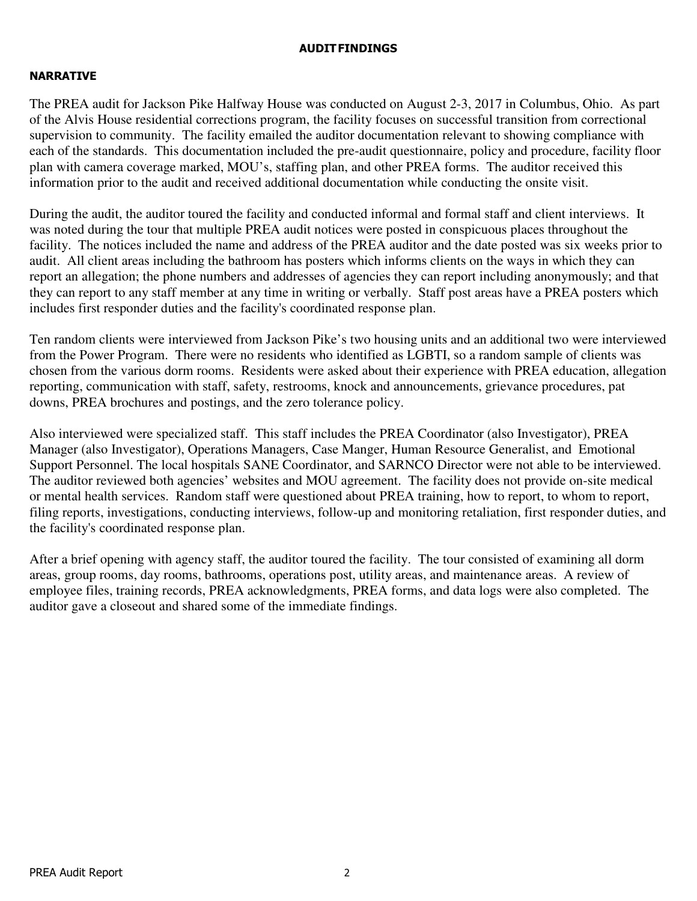# AUDIT FINDINGS

# NARRATIVE

The PREA audit for Jackson Pike Halfway House was conducted on August 2-3, 2017 in Columbus, Ohio. As part of the Alvis House residential corrections program, the facility focuses on successful transition from correctional supervision to community. The facility emailed the auditor documentation relevant to showing compliance with each of the standards. This documentation included the pre-audit questionnaire, policy and procedure, facility floor plan with camera coverage marked, MOU's, staffing plan, and other PREA forms. The auditor received this information prior to the audit and received additional documentation while conducting the onsite visit.

During the audit, the auditor toured the facility and conducted informal and formal staff and client interviews. It was noted during the tour that multiple PREA audit notices were posted in conspicuous places throughout the facility. The notices included the name and address of the PREA auditor and the date posted was six weeks prior to audit. All client areas including the bathroom has posters which informs clients on the ways in which they can report an allegation; the phone numbers and addresses of agencies they can report including anonymously; and that they can report to any staff member at any time in writing or verbally. Staff post areas have a PREA posters which includes first responder duties and the facility's coordinated response plan.

Ten random clients were interviewed from Jackson Pike's two housing units and an additional two were interviewed from the Power Program. There were no residents who identified as LGBTI, so a random sample of clients was chosen from the various dorm rooms. Residents were asked about their experience with PREA education, allegation reporting, communication with staff, safety, restrooms, knock and announcements, grievance procedures, pat downs, PREA brochures and postings, and the zero tolerance policy.

Also interviewed were specialized staff. This staff includes the PREA Coordinator (also Investigator), PREA Manager (also Investigator), Operations Managers, Case Manger, Human Resource Generalist, and Emotional Support Personnel. The local hospitals SANE Coordinator, and SARNCO Director were not able to be interviewed. The auditor reviewed both agencies' websites and MOU agreement. The facility does not provide on-site medical or mental health services. Random staff were questioned about PREA training, how to report, to whom to report, filing reports, investigations, conducting interviews, follow-up and monitoring retaliation, first responder duties, and the facility's coordinated response plan.

After a brief opening with agency staff, the auditor toured the facility. The tour consisted of examining all dorm areas, group rooms, day rooms, bathrooms, operations post, utility areas, and maintenance areas. A review of employee files, training records, PREA acknowledgments, PREA forms, and data logs were also completed. The auditor gave a closeout and shared some of the immediate findings.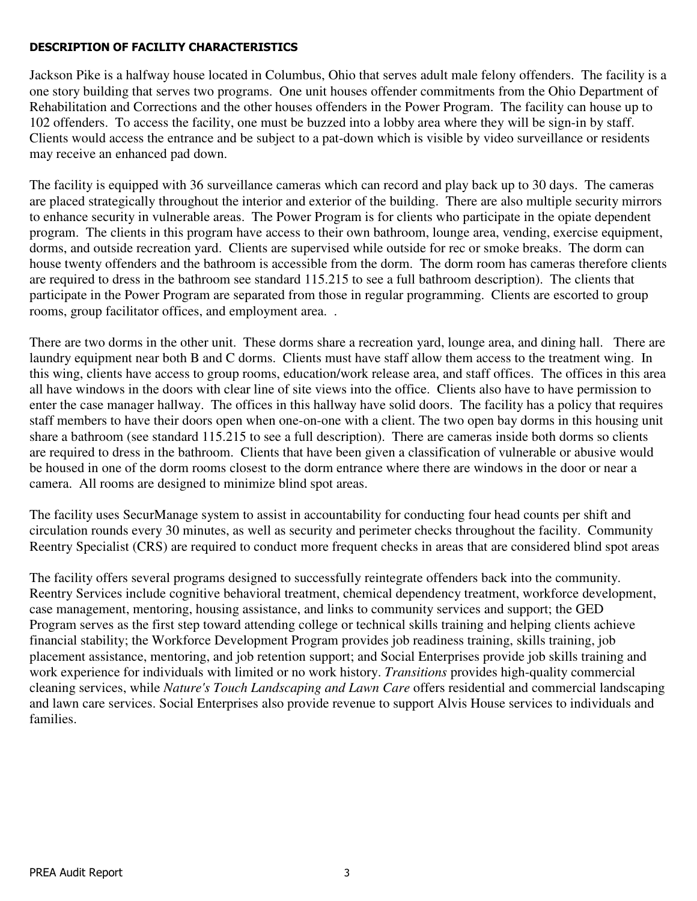# DESCRIPTION OF FACILITY CHARACTERISTICS

Jackson Pike is a halfway house located in Columbus, Ohio that serves adult male felony offenders. The facility is a one story building that serves two programs. One unit houses offender commitments from the Ohio Department of Rehabilitation and Corrections and the other houses offenders in the Power Program. The facility can house up to 102 offenders. To access the facility, one must be buzzed into a lobby area where they will be sign-in by staff. Clients would access the entrance and be subject to a pat-down which is visible by video surveillance or residents may receive an enhanced pad down.

The facility is equipped with 36 surveillance cameras which can record and play back up to 30 days. The cameras are placed strategically throughout the interior and exterior of the building. There are also multiple security mirrors to enhance security in vulnerable areas. The Power Program is for clients who participate in the opiate dependent program. The clients in this program have access to their own bathroom, lounge area, vending, exercise equipment, dorms, and outside recreation yard. Clients are supervised while outside for rec or smoke breaks. The dorm can house twenty offenders and the bathroom is accessible from the dorm. The dorm room has cameras therefore clients are required to dress in the bathroom see standard 115.215 to see a full bathroom description). The clients that participate in the Power Program are separated from those in regular programming. Clients are escorted to group rooms, group facilitator offices, and employment area. .

There are two dorms in the other unit. These dorms share a recreation yard, lounge area, and dining hall. There are laundry equipment near both B and C dorms. Clients must have staff allow them access to the treatment wing. In this wing, clients have access to group rooms, education/work release area, and staff offices. The offices in this area all have windows in the doors with clear line of site views into the office. Clients also have to have permission to enter the case manager hallway. The offices in this hallway have solid doors. The facility has a policy that requires staff members to have their doors open when one-on-one with a client. The two open bay dorms in this housing unit share a bathroom (see standard 115.215 to see a full description). There are cameras inside both dorms so clients are required to dress in the bathroom. Clients that have been given a classification of vulnerable or abusive would be housed in one of the dorm rooms closest to the dorm entrance where there are windows in the door or near a camera. All rooms are designed to minimize blind spot areas.

The facility uses SecurManage system to assist in accountability for conducting four head counts per shift and circulation rounds every 30 minutes, as well as security and perimeter checks throughout the facility. Community Reentry Specialist (CRS) are required to conduct more frequent checks in areas that are considered blind spot areas

The facility offers several programs designed to successfully reintegrate offenders back into the community. Reentry Services include cognitive behavioral treatment, chemical dependency treatment, workforce development, case management, mentoring, housing assistance, and links to community services and support; the GED Program serves as the first step toward attending college or technical skills training and helping clients achieve financial stability; the Workforce Development Program provides job readiness training, skills training, job placement assistance, mentoring, and job retention support; and Social Enterprises provide job skills training and work experience for individuals with limited or no work history. *Transitions* provides high-quality commercial cleaning services, while *Nature's Touch Landscaping and Lawn Care* offers residential and commercial landscaping and lawn care services. Social Enterprises also provide revenue to support Alvis House services to individuals and families.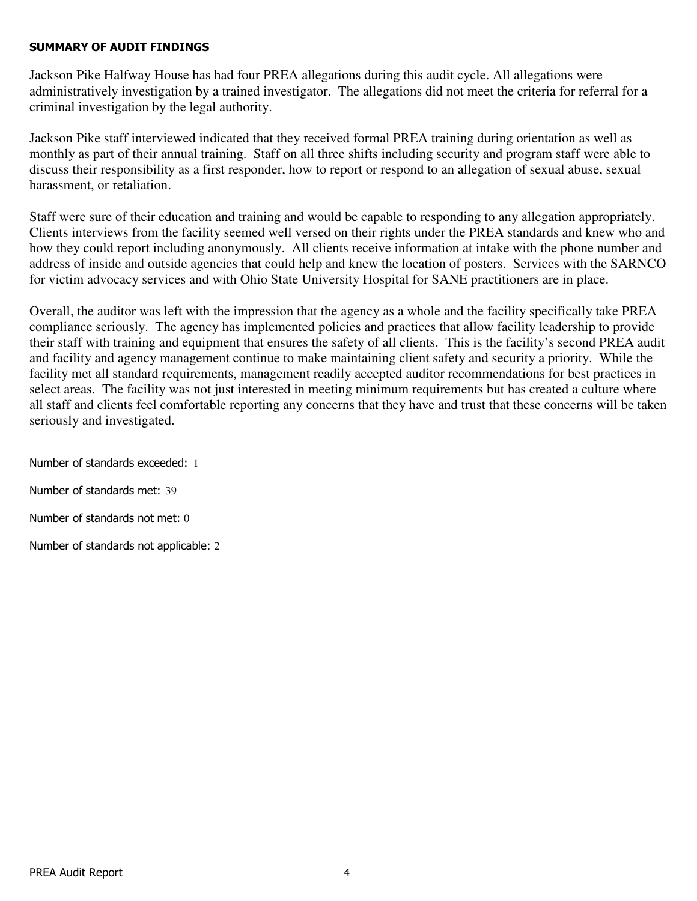### SUMMARY OF AUDIT FINDINGS

Jackson Pike Halfway House has had four PREA allegations during this audit cycle. All allegations were administratively investigation by a trained investigator. The allegations did not meet the criteria for referral for a criminal investigation by the legal authority.

Jackson Pike staff interviewed indicated that they received formal PREA training during orientation as well as monthly as part of their annual training. Staff on all three shifts including security and program staff were able to discuss their responsibility as a first responder, how to report or respond to an allegation of sexual abuse, sexual harassment, or retaliation.

Staff were sure of their education and training and would be capable to responding to any allegation appropriately. Clients interviews from the facility seemed well versed on their rights under the PREA standards and knew who and how they could report including anonymously. All clients receive information at intake with the phone number and address of inside and outside agencies that could help and knew the location of posters. Services with the SARNCO for victim advocacy services and with Ohio State University Hospital for SANE practitioners are in place.

Overall, the auditor was left with the impression that the agency as a whole and the facility specifically take PREA compliance seriously. The agency has implemented policies and practices that allow facility leadership to provide their staff with training and equipment that ensures the safety of all clients. This is the facility's second PREA audit and facility and agency management continue to make maintaining client safety and security a priority. While the facility met all standard requirements, management readily accepted auditor recommendations for best practices in select areas. The facility was not just interested in meeting minimum requirements but has created a culture where all staff and clients feel comfortable reporting any concerns that they have and trust that these concerns will be taken seriously and investigated.

Number of standards exceeded: 1 Number of standards met: 39 Number of standards not met: 0 Number of standards not applicable: 2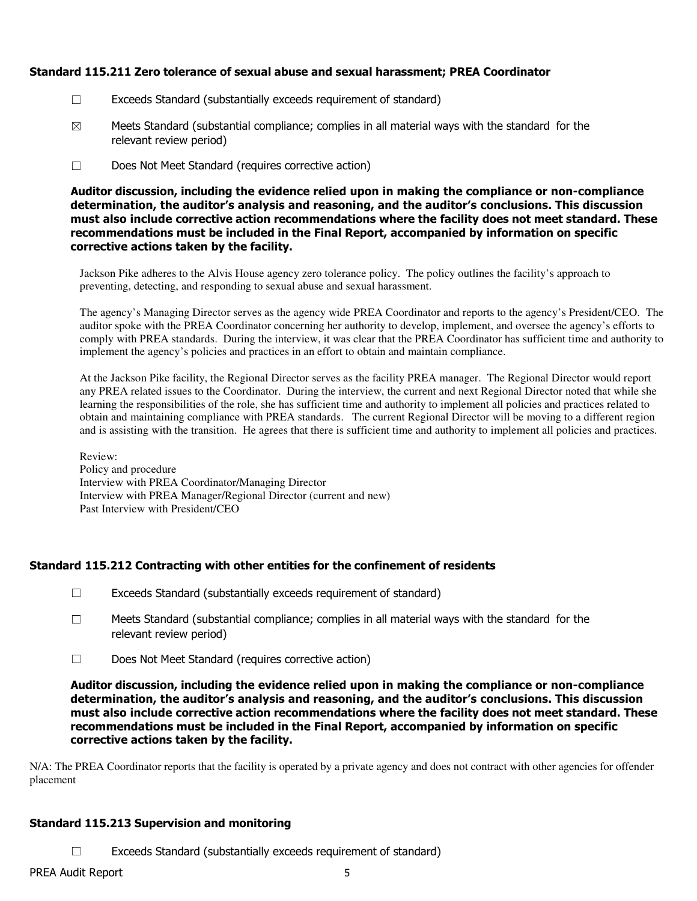### Standard 115.211 Zero tolerance of sexual abuse and sexual harassment; PREA Coordinator

- ☐ Exceeds Standard (substantially exceeds requirement of standard)
- $\boxtimes$  Meets Standard (substantial compliance; complies in all material ways with the standard for the relevant review period)
- ☐ Does Not Meet Standard (requires corrective action)

Auditor discussion, including the evidence relied upon in making the compliance or non-compliance determination, the auditor's analysis and reasoning, and the auditor's conclusions. This discussion must also include corrective action recommendations where the facility does not meet standard. These recommendations must be included in the Final Report, accompanied by information on specific corrective actions taken by the facility.

Jackson Pike adheres to the Alvis House agency zero tolerance policy. The policy outlines the facility's approach to preventing, detecting, and responding to sexual abuse and sexual harassment.

The agency's Managing Director serves as the agency wide PREA Coordinator and reports to the agency's President/CEO. The auditor spoke with the PREA Coordinator concerning her authority to develop, implement, and oversee the agency's efforts to comply with PREA standards. During the interview, it was clear that the PREA Coordinator has sufficient time and authority to implement the agency's policies and practices in an effort to obtain and maintain compliance.

At the Jackson Pike facility, the Regional Director serves as the facility PREA manager. The Regional Director would report any PREA related issues to the Coordinator. During the interview, the current and next Regional Director noted that while she learning the responsibilities of the role, she has sufficient time and authority to implement all policies and practices related to obtain and maintaining compliance with PREA standards. The current Regional Director will be moving to a different region and is assisting with the transition. He agrees that there is sufficient time and authority to implement all policies and practices.

Review: Policy and procedure Interview with PREA Coordinator/Managing Director Interview with PREA Manager/Regional Director (current and new) Past Interview with President/CEO

### Standard 115.212 Contracting with other entities for the confinement of residents

- $\Box$  Exceeds Standard (substantially exceeds requirement of standard)
- ☐ Meets Standard (substantial compliance; complies in all material ways with the standard for the relevant review period)
- ☐ Does Not Meet Standard (requires corrective action)

Auditor discussion, including the evidence relied upon in making the compliance or non-compliance determination, the auditor's analysis and reasoning, and the auditor's conclusions. This discussion must also include corrective action recommendations where the facility does not meet standard. These recommendations must be included in the Final Report, accompanied by information on specific corrective actions taken by the facility.

N/A: The PREA Coordinator reports that the facility is operated by a private agency and does not contract with other agencies for offender placement

# Standard 115.213 Supervision and monitoring

 $\Box$  Exceeds Standard (substantially exceeds requirement of standard)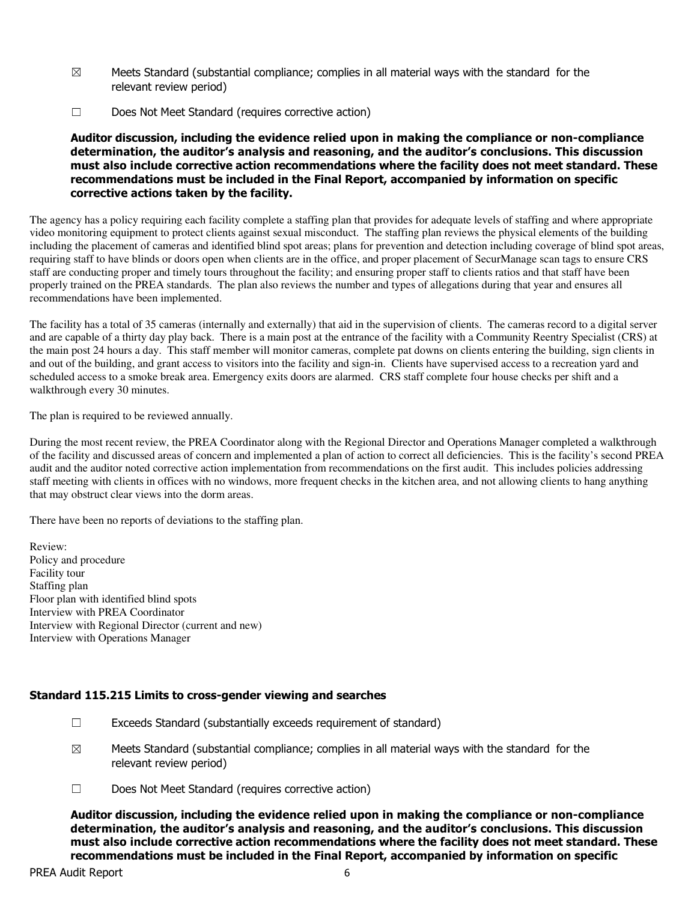- $\boxtimes$  Meets Standard (substantial compliance; complies in all material ways with the standard for the relevant review period)
- ☐ Does Not Meet Standard (requires corrective action)

Auditor discussion, including the evidence relied upon in making the compliance or non-compliance determination, the auditor's analysis and reasoning, and the auditor's conclusions. This discussion must also include corrective action recommendations where the facility does not meet standard. These recommendations must be included in the Final Report, accompanied by information on specific corrective actions taken by the facility.

The agency has a policy requiring each facility complete a staffing plan that provides for adequate levels of staffing and where appropriate video monitoring equipment to protect clients against sexual misconduct. The staffing plan reviews the physical elements of the building including the placement of cameras and identified blind spot areas; plans for prevention and detection including coverage of blind spot areas, requiring staff to have blinds or doors open when clients are in the office, and proper placement of SecurManage scan tags to ensure CRS staff are conducting proper and timely tours throughout the facility; and ensuring proper staff to clients ratios and that staff have been properly trained on the PREA standards. The plan also reviews the number and types of allegations during that year and ensures all recommendations have been implemented.

The facility has a total of 35 cameras (internally and externally) that aid in the supervision of clients. The cameras record to a digital server and are capable of a thirty day play back. There is a main post at the entrance of the facility with a Community Reentry Specialist (CRS) at the main post 24 hours a day. This staff member will monitor cameras, complete pat downs on clients entering the building, sign clients in and out of the building, and grant access to visitors into the facility and sign-in. Clients have supervised access to a recreation yard and scheduled access to a smoke break area. Emergency exits doors are alarmed. CRS staff complete four house checks per shift and a walkthrough every 30 minutes.

The plan is required to be reviewed annually.

During the most recent review, the PREA Coordinator along with the Regional Director and Operations Manager completed a walkthrough of the facility and discussed areas of concern and implemented a plan of action to correct all deficiencies. This is the facility's second PREA audit and the auditor noted corrective action implementation from recommendations on the first audit. This includes policies addressing staff meeting with clients in offices with no windows, more frequent checks in the kitchen area, and not allowing clients to hang anything that may obstruct clear views into the dorm areas.

There have been no reports of deviations to the staffing plan.

Review: Policy and procedure Facility tour Staffing plan Floor plan with identified blind spots Interview with PREA Coordinator Interview with Regional Director (current and new) Interview with Operations Manager

### Standard 115.215 Limits to cross-gender viewing and searches

- $\Box$  Exceeds Standard (substantially exceeds requirement of standard)
- $\boxtimes$  Meets Standard (substantial compliance; complies in all material ways with the standard for the relevant review period)
- ☐ Does Not Meet Standard (requires corrective action)

Auditor discussion, including the evidence relied upon in making the compliance or non-compliance determination, the auditor's analysis and reasoning, and the auditor's conclusions. This discussion must also include corrective action recommendations where the facility does not meet standard. These recommendations must be included in the Final Report, accompanied by information on specific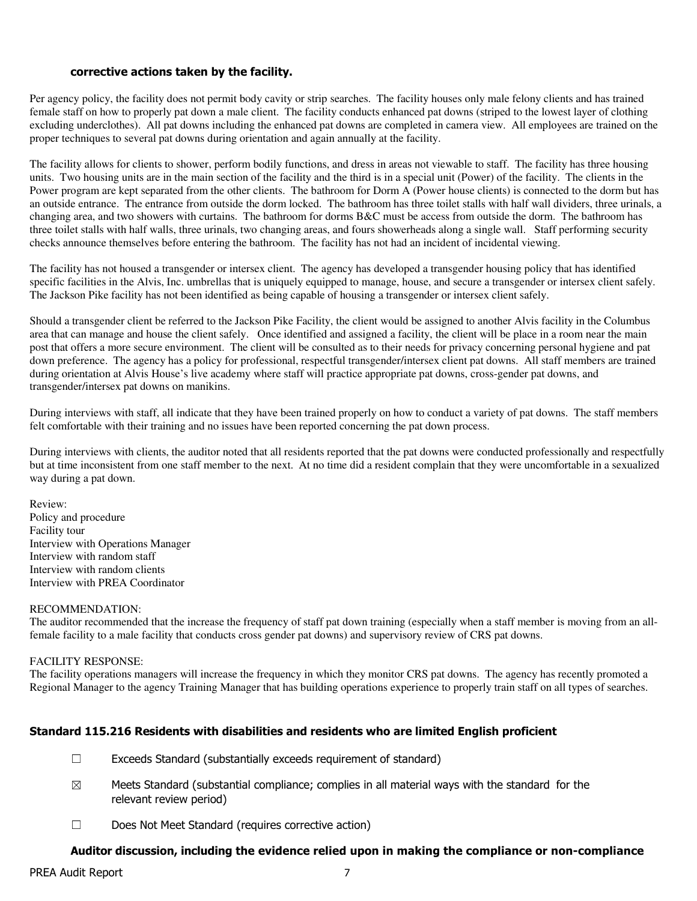#### corrective actions taken by the facility.

Per agency policy, the facility does not permit body cavity or strip searches. The facility houses only male felony clients and has trained female staff on how to properly pat down a male client. The facility conducts enhanced pat downs (striped to the lowest layer of clothing excluding underclothes). All pat downs including the enhanced pat downs are completed in camera view. All employees are trained on the proper techniques to several pat downs during orientation and again annually at the facility.

The facility allows for clients to shower, perform bodily functions, and dress in areas not viewable to staff. The facility has three housing units. Two housing units are in the main section of the facility and the third is in a special unit (Power) of the facility. The clients in the Power program are kept separated from the other clients. The bathroom for Dorm A (Power house clients) is connected to the dorm but has an outside entrance. The entrance from outside the dorm locked. The bathroom has three toilet stalls with half wall dividers, three urinals, a changing area, and two showers with curtains. The bathroom for dorms B&C must be access from outside the dorm. The bathroom has three toilet stalls with half walls, three urinals, two changing areas, and fours showerheads along a single wall. Staff performing security checks announce themselves before entering the bathroom. The facility has not had an incident of incidental viewing.

The facility has not housed a transgender or intersex client. The agency has developed a transgender housing policy that has identified specific facilities in the Alvis, Inc. umbrellas that is uniquely equipped to manage, house, and secure a transgender or intersex client safely. The Jackson Pike facility has not been identified as being capable of housing a transgender or intersex client safely.

Should a transgender client be referred to the Jackson Pike Facility, the client would be assigned to another Alvis facility in the Columbus area that can manage and house the client safely. Once identified and assigned a facility, the client will be place in a room near the main post that offers a more secure environment. The client will be consulted as to their needs for privacy concerning personal hygiene and pat down preference. The agency has a policy for professional, respectful transgender/intersex client pat downs. All staff members are trained during orientation at Alvis House's live academy where staff will practice appropriate pat downs, cross-gender pat downs, and transgender/intersex pat downs on manikins.

During interviews with staff, all indicate that they have been trained properly on how to conduct a variety of pat downs. The staff members felt comfortable with their training and no issues have been reported concerning the pat down process.

During interviews with clients, the auditor noted that all residents reported that the pat downs were conducted professionally and respectfully but at time inconsistent from one staff member to the next. At no time did a resident complain that they were uncomfortable in a sexualized way during a pat down.

Review: Policy and procedure Facility tour Interview with Operations Manager Interview with random staff Interview with random clients Interview with PREA Coordinator

#### RECOMMENDATION:

The auditor recommended that the increase the frequency of staff pat down training (especially when a staff member is moving from an allfemale facility to a male facility that conducts cross gender pat downs) and supervisory review of CRS pat downs.

#### FACILITY RESPONSE:

The facility operations managers will increase the frequency in which they monitor CRS pat downs. The agency has recently promoted a Regional Manager to the agency Training Manager that has building operations experience to properly train staff on all types of searches.

### Standard 115.216 Residents with disabilities and residents who are limited English proficient

- $\Box$  Exceeds Standard (substantially exceeds requirement of standard)
- $\boxtimes$  Meets Standard (substantial compliance; complies in all material ways with the standard for the relevant review period)
- ☐ Does Not Meet Standard (requires corrective action)

# Auditor discussion, including the evidence relied upon in making the compliance or non-compliance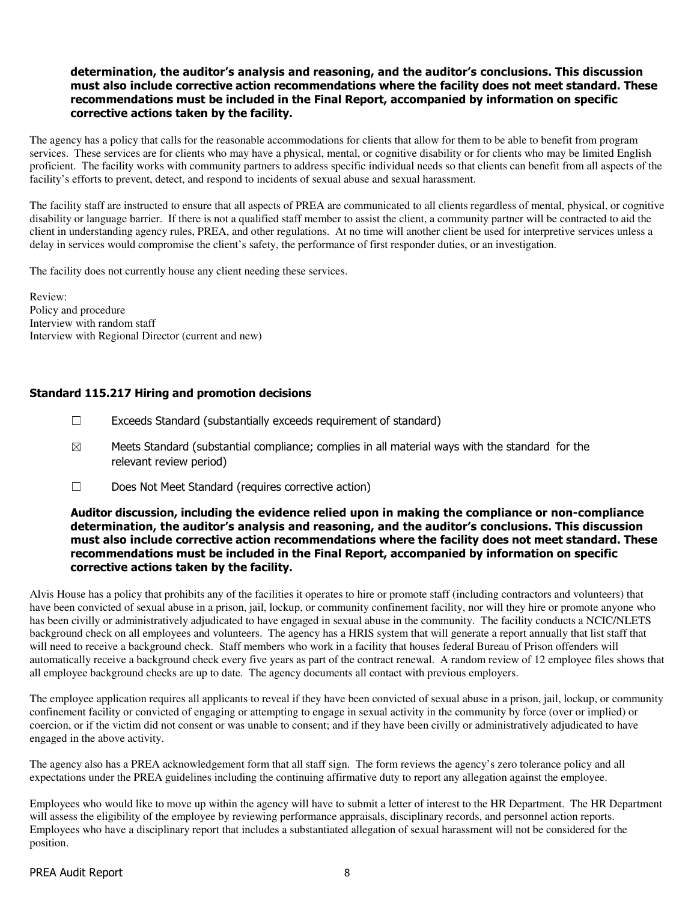### determination, the auditor's analysis and reasoning, and the auditor's conclusions. This discussion must also include corrective action recommendations where the facility does not meet standard. These recommendations must be included in the Final Report, accompanied by information on specific corrective actions taken by the facility.

The agency has a policy that calls for the reasonable accommodations for clients that allow for them to be able to benefit from program services. These services are for clients who may have a physical, mental, or cognitive disability or for clients who may be limited English proficient. The facility works with community partners to address specific individual needs so that clients can benefit from all aspects of the facility's efforts to prevent, detect, and respond to incidents of sexual abuse and sexual harassment.

The facility staff are instructed to ensure that all aspects of PREA are communicated to all clients regardless of mental, physical, or cognitive disability or language barrier. If there is not a qualified staff member to assist the client, a community partner will be contracted to aid the client in understanding agency rules, PREA, and other regulations. At no time will another client be used for interpretive services unless a delay in services would compromise the client's safety, the performance of first responder duties, or an investigation.

The facility does not currently house any client needing these services.

Review: Policy and procedure Interview with random staff Interview with Regional Director (current and new)

### Standard 115.217 Hiring and promotion decisions

- $\Box$  Exceeds Standard (substantially exceeds requirement of standard)
- $\boxtimes$  Meets Standard (substantial compliance; complies in all material ways with the standard for the relevant review period)
- ☐ Does Not Meet Standard (requires corrective action)

### Auditor discussion, including the evidence relied upon in making the compliance or non-compliance determination, the auditor's analysis and reasoning, and the auditor's conclusions. This discussion must also include corrective action recommendations where the facility does not meet standard. These recommendations must be included in the Final Report, accompanied by information on specific corrective actions taken by the facility.

Alvis House has a policy that prohibits any of the facilities it operates to hire or promote staff (including contractors and volunteers) that have been convicted of sexual abuse in a prison, jail, lockup, or community confinement facility, nor will they hire or promote anyone who has been civilly or administratively adjudicated to have engaged in sexual abuse in the community. The facility conducts a NCIC/NLETS background check on all employees and volunteers. The agency has a HRIS system that will generate a report annually that list staff that will need to receive a background check. Staff members who work in a facility that houses federal Bureau of Prison offenders will automatically receive a background check every five years as part of the contract renewal. A random review of 12 employee files shows that all employee background checks are up to date. The agency documents all contact with previous employers.

The employee application requires all applicants to reveal if they have been convicted of sexual abuse in a prison, jail, lockup, or community confinement facility or convicted of engaging or attempting to engage in sexual activity in the community by force (over or implied) or coercion, or if the victim did not consent or was unable to consent; and if they have been civilly or administratively adjudicated to have engaged in the above activity.

The agency also has a PREA acknowledgement form that all staff sign. The form reviews the agency's zero tolerance policy and all expectations under the PREA guidelines including the continuing affirmative duty to report any allegation against the employee.

Employees who would like to move up within the agency will have to submit a letter of interest to the HR Department. The HR Department will assess the eligibility of the employee by reviewing performance appraisals, disciplinary records, and personnel action reports. Employees who have a disciplinary report that includes a substantiated allegation of sexual harassment will not be considered for the position.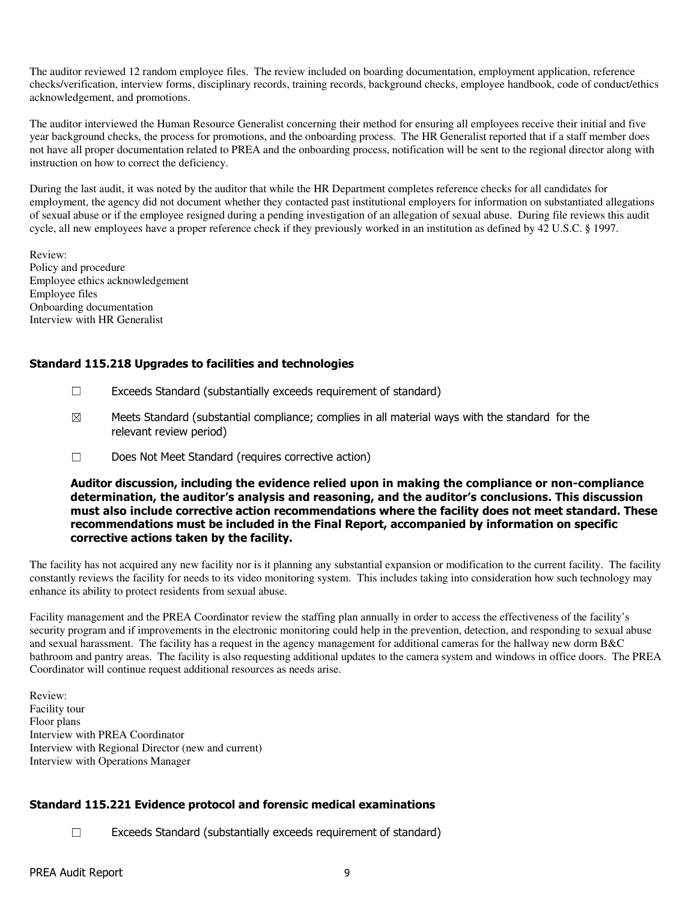The auditor reviewed 12 random employee files. The review included on boarding documentation, employment application, reference checks/verification, interview forms, disciplinary records, training records, background checks, employee handbook, code of conduct/ethics acknowledgement, and promotions.

The auditor interviewed the Human Resource Generalist concerning their method for ensuring all employees receive their initial and five year background checks, the process for promotions, and the onboarding process. The HR Generalist reported that if a staff member does not have all proper documentation related to PREA and the onboarding process, notification will be sent to the regional director along with instruction on how to correct the deficiency.

During the last audit, it was noted by the auditor that while the HR Department completes reference checks for all candidates for employment, the agency did not document whether they contacted past institutional employers for information on substantiated allegations of sexual abuse or if the employee resigned during a pending investigation of an allegation of sexual abuse. During file reviews this audit cycle, all new employees have a proper reference check if they previously worked in an institution as defined by 42 U.S.C. § 1997.

Review: Policy and procedure Employee ethics acknowledgement Employee files Onboarding documentation Interview with HR Generalist

# Standard 115.218 Upgrades to facilities and technologies

- ☐ Exceeds Standard (substantially exceeds requirement of standard)
- $\boxtimes$  Meets Standard (substantial compliance; complies in all material ways with the standard for the relevant review period)
- ☐ Does Not Meet Standard (requires corrective action)

Auditor discussion, including the evidence relied upon in making the compliance or non-compliance determination, the auditor's analysis and reasoning, and the auditor's conclusions. This discussion must also include corrective action recommendations where the facility does not meet standard. These recommendations must be included in the Final Report, accompanied by information on specific corrective actions taken by the facility.

The facility has not acquired any new facility nor is it planning any substantial expansion or modification to the current facility. The facility constantly reviews the facility for needs to its video monitoring system. This includes taking into consideration how such technology may enhance its ability to protect residents from sexual abuse.

Facility management and the PREA Coordinator review the staffing plan annually in order to access the effectiveness of the facility's security program and if improvements in the electronic monitoring could help in the prevention, detection, and responding to sexual abuse and sexual harassment. The facility has a request in the agency management for additional cameras for the hallway new dorm B&C bathroom and pantry areas. The facility is also requesting additional updates to the camera system and windows in office doors. The PREA Coordinator will continue request additional resources as needs arise.

Review: Facility tour Floor plans Interview with PREA Coordinator Interview with Regional Director (new and current) Interview with Operations Manager

### Standard 115.221 Evidence protocol and forensic medical examinations

☐ Exceeds Standard (substantially exceeds requirement of standard)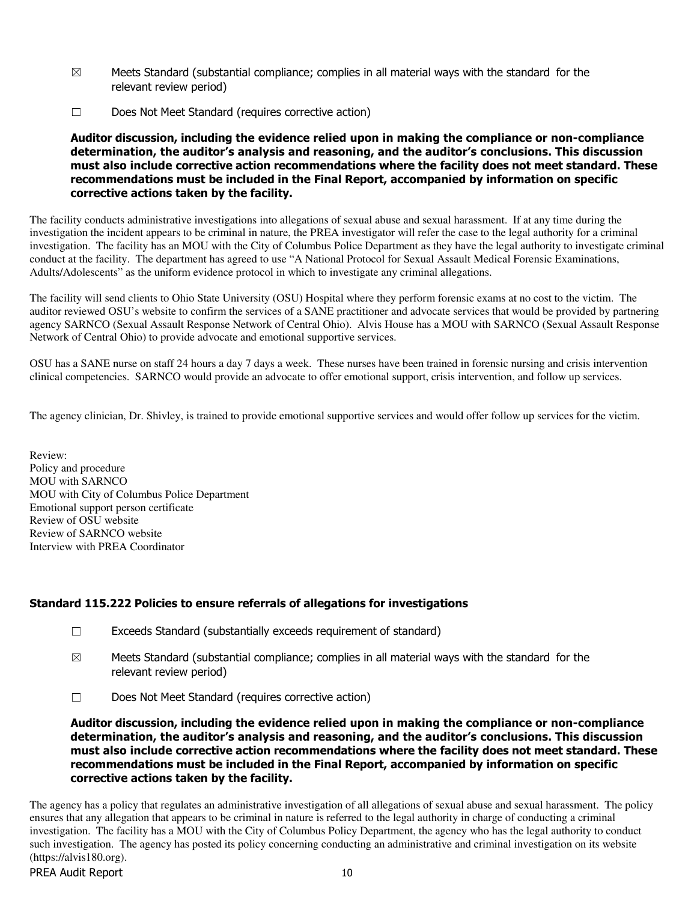- $\boxtimes$  Meets Standard (substantial compliance; complies in all material ways with the standard for the relevant review period)
- ☐ Does Not Meet Standard (requires corrective action)

Auditor discussion, including the evidence relied upon in making the compliance or non-compliance determination, the auditor's analysis and reasoning, and the auditor's conclusions. This discussion must also include corrective action recommendations where the facility does not meet standard. These recommendations must be included in the Final Report, accompanied by information on specific corrective actions taken by the facility.

The facility conducts administrative investigations into allegations of sexual abuse and sexual harassment. If at any time during the investigation the incident appears to be criminal in nature, the PREA investigator will refer the case to the legal authority for a criminal investigation. The facility has an MOU with the City of Columbus Police Department as they have the legal authority to investigate criminal conduct at the facility. The department has agreed to use "A National Protocol for Sexual Assault Medical Forensic Examinations, Adults/Adolescents" as the uniform evidence protocol in which to investigate any criminal allegations.

The facility will send clients to Ohio State University (OSU) Hospital where they perform forensic exams at no cost to the victim. The auditor reviewed OSU's website to confirm the services of a SANE practitioner and advocate services that would be provided by partnering agency SARNCO (Sexual Assault Response Network of Central Ohio). Alvis House has a MOU with SARNCO (Sexual Assault Response Network of Central Ohio) to provide advocate and emotional supportive services.

OSU has a SANE nurse on staff 24 hours a day 7 days a week. These nurses have been trained in forensic nursing and crisis intervention clinical competencies. SARNCO would provide an advocate to offer emotional support, crisis intervention, and follow up services.

The agency clinician, Dr. Shivley, is trained to provide emotional supportive services and would offer follow up services for the victim.

Review: Policy and procedure MOU with SARNCO MOU with City of Columbus Police Department Emotional support person certificate Review of OSU website Review of SARNCO website Interview with PREA Coordinator

### Standard 115.222 Policies to ensure referrals of allegations for investigations

- ☐ Exceeds Standard (substantially exceeds requirement of standard)
- $\boxtimes$  Meets Standard (substantial compliance; complies in all material ways with the standard for the relevant review period)
- ☐ Does Not Meet Standard (requires corrective action)

Auditor discussion, including the evidence relied upon in making the compliance or non-compliance determination, the auditor's analysis and reasoning, and the auditor's conclusions. This discussion must also include corrective action recommendations where the facility does not meet standard. These recommendations must be included in the Final Report, accompanied by information on specific corrective actions taken by the facility.

The agency has a policy that regulates an administrative investigation of all allegations of sexual abuse and sexual harassment. The policy ensures that any allegation that appears to be criminal in nature is referred to the legal authority in charge of conducting a criminal investigation. The facility has a MOU with the City of Columbus Policy Department, the agency who has the legal authority to conduct such investigation. The agency has posted its policy concerning conducting an administrative and criminal investigation on its website (https://alvis180.org).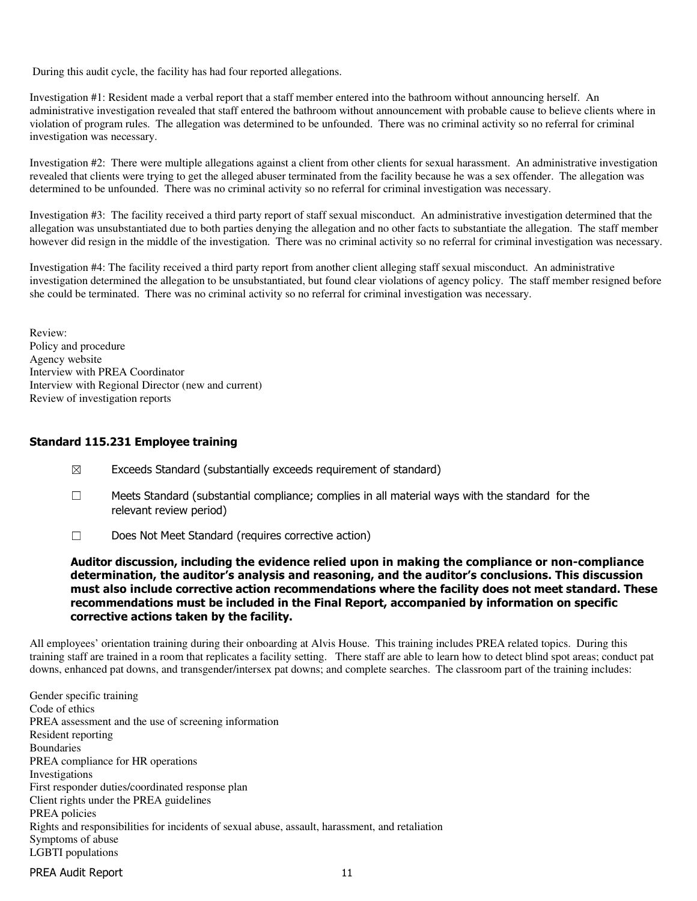During this audit cycle, the facility has had four reported allegations.

Investigation #1: Resident made a verbal report that a staff member entered into the bathroom without announcing herself. An administrative investigation revealed that staff entered the bathroom without announcement with probable cause to believe clients where in violation of program rules. The allegation was determined to be unfounded. There was no criminal activity so no referral for criminal investigation was necessary.

Investigation #2: There were multiple allegations against a client from other clients for sexual harassment. An administrative investigation revealed that clients were trying to get the alleged abuser terminated from the facility because he was a sex offender. The allegation was determined to be unfounded. There was no criminal activity so no referral for criminal investigation was necessary.

Investigation #3: The facility received a third party report of staff sexual misconduct. An administrative investigation determined that the allegation was unsubstantiated due to both parties denying the allegation and no other facts to substantiate the allegation. The staff member however did resign in the middle of the investigation. There was no criminal activity so no referral for criminal investigation was necessary.

Investigation #4: The facility received a third party report from another client alleging staff sexual misconduct. An administrative investigation determined the allegation to be unsubstantiated, but found clear violations of agency policy. The staff member resigned before she could be terminated. There was no criminal activity so no referral for criminal investigation was necessary.

Review: Policy and procedure Agency website Interview with PREA Coordinator Interview with Regional Director (new and current) Review of investigation reports

### Standard 115.231 Employee training

- $\boxtimes$  Exceeds Standard (substantially exceeds requirement of standard)
- $\Box$  Meets Standard (substantial compliance; complies in all material ways with the standard for the relevant review period)
- ☐ Does Not Meet Standard (requires corrective action)

Auditor discussion, including the evidence relied upon in making the compliance or non-compliance determination, the auditor's analysis and reasoning, and the auditor's conclusions. This discussion must also include corrective action recommendations where the facility does not meet standard. These recommendations must be included in the Final Report, accompanied by information on specific corrective actions taken by the facility.

All employees' orientation training during their onboarding at Alvis House. This training includes PREA related topics. During this training staff are trained in a room that replicates a facility setting. There staff are able to learn how to detect blind spot areas; conduct pat downs, enhanced pat downs, and transgender/intersex pat downs; and complete searches. The classroom part of the training includes:

Gender specific training Code of ethics PREA assessment and the use of screening information Resident reporting Boundaries PREA compliance for HR operations Investigations First responder duties/coordinated response plan Client rights under the PREA guidelines PREA policies Rights and responsibilities for incidents of sexual abuse, assault, harassment, and retaliation Symptoms of abuse LGBTI populations

PREA Audit Report 11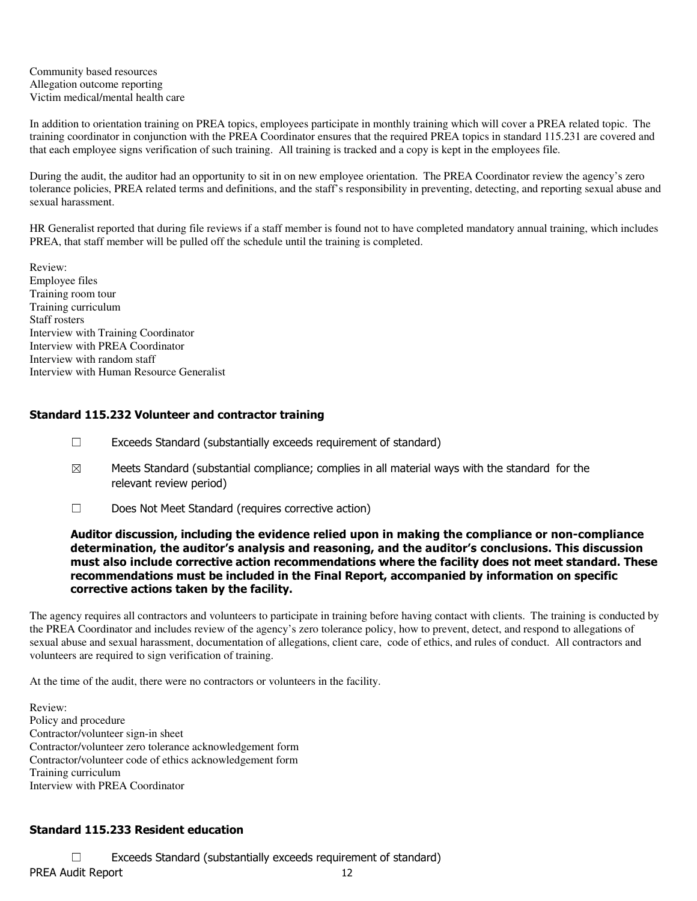Community based resources Allegation outcome reporting Victim medical/mental health care

In addition to orientation training on PREA topics, employees participate in monthly training which will cover a PREA related topic. The training coordinator in conjunction with the PREA Coordinator ensures that the required PREA topics in standard 115.231 are covered and that each employee signs verification of such training. All training is tracked and a copy is kept in the employees file.

During the audit, the auditor had an opportunity to sit in on new employee orientation. The PREA Coordinator review the agency's zero tolerance policies, PREA related terms and definitions, and the staff's responsibility in preventing, detecting, and reporting sexual abuse and sexual harassment.

HR Generalist reported that during file reviews if a staff member is found not to have completed mandatory annual training, which includes PREA, that staff member will be pulled off the schedule until the training is completed.

Review: Employee files Training room tour Training curriculum Staff rosters Interview with Training Coordinator Interview with PREA Coordinator Interview with random staff Interview with Human Resource Generalist

### Standard 115.232 Volunteer and contractor training

- ☐ Exceeds Standard (substantially exceeds requirement of standard)
- $\boxtimes$  Meets Standard (substantial compliance; complies in all material ways with the standard for the relevant review period)
- ☐ Does Not Meet Standard (requires corrective action)

#### Auditor discussion, including the evidence relied upon in making the compliance or non-compliance determination, the auditor's analysis and reasoning, and the auditor's conclusions. This discussion must also include corrective action recommendations where the facility does not meet standard. These recommendations must be included in the Final Report, accompanied by information on specific corrective actions taken by the facility.

The agency requires all contractors and volunteers to participate in training before having contact with clients. The training is conducted by the PREA Coordinator and includes review of the agency's zero tolerance policy, how to prevent, detect, and respond to allegations of sexual abuse and sexual harassment, documentation of allegations, client care, code of ethics, and rules of conduct. All contractors and volunteers are required to sign verification of training.

At the time of the audit, there were no contractors or volunteers in the facility.

Review: Policy and procedure Contractor/volunteer sign-in sheet Contractor/volunteer zero tolerance acknowledgement form Contractor/volunteer code of ethics acknowledgement form Training curriculum Interview with PREA Coordinator

### Standard 115.233 Resident education

PREA Audit Report 12 ☐ Exceeds Standard (substantially exceeds requirement of standard)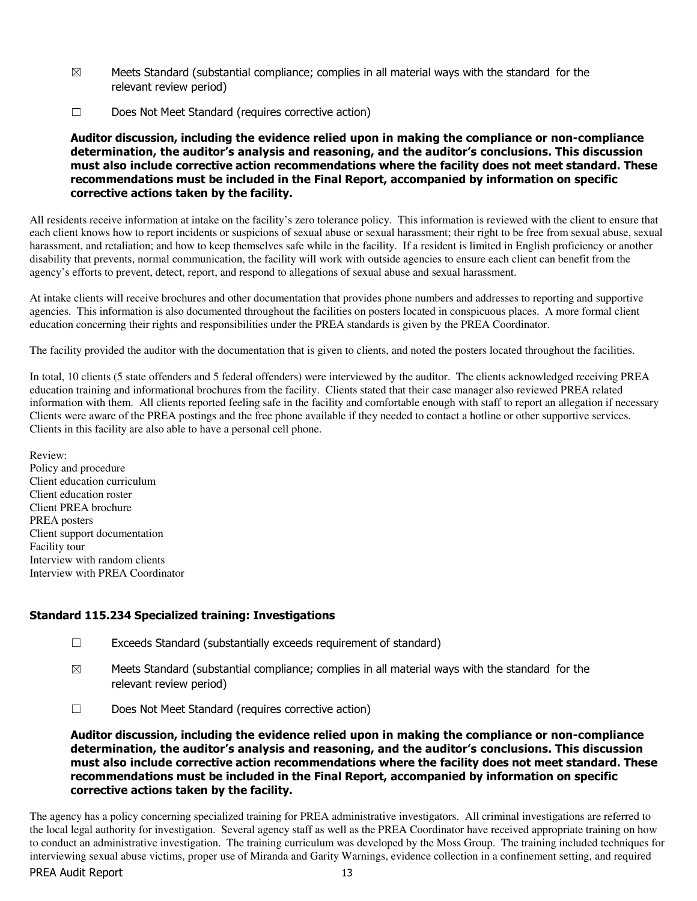- $\boxtimes$  Meets Standard (substantial compliance; complies in all material ways with the standard for the relevant review period)
- ☐ Does Not Meet Standard (requires corrective action)

Auditor discussion, including the evidence relied upon in making the compliance or non-compliance determination, the auditor's analysis and reasoning, and the auditor's conclusions. This discussion must also include corrective action recommendations where the facility does not meet standard. These recommendations must be included in the Final Report, accompanied by information on specific corrective actions taken by the facility.

All residents receive information at intake on the facility's zero tolerance policy. This information is reviewed with the client to ensure that each client knows how to report incidents or suspicions of sexual abuse or sexual harassment; their right to be free from sexual abuse, sexual harassment, and retaliation; and how to keep themselves safe while in the facility. If a resident is limited in English proficiency or another disability that prevents, normal communication, the facility will work with outside agencies to ensure each client can benefit from the agency's efforts to prevent, detect, report, and respond to allegations of sexual abuse and sexual harassment.

At intake clients will receive brochures and other documentation that provides phone numbers and addresses to reporting and supportive agencies. This information is also documented throughout the facilities on posters located in conspicuous places. A more formal client education concerning their rights and responsibilities under the PREA standards is given by the PREA Coordinator.

The facility provided the auditor with the documentation that is given to clients, and noted the posters located throughout the facilities.

In total, 10 clients (5 state offenders and 5 federal offenders) were interviewed by the auditor. The clients acknowledged receiving PREA education training and informational brochures from the facility. Clients stated that their case manager also reviewed PREA related information with them. All clients reported feeling safe in the facility and comfortable enough with staff to report an allegation if necessary Clients were aware of the PREA postings and the free phone available if they needed to contact a hotline or other supportive services. Clients in this facility are also able to have a personal cell phone.

Review: Policy and procedure Client education curriculum Client education roster Client PREA brochure PREA posters Client support documentation Facility tour Interview with random clients Interview with PREA Coordinator

### Standard 115.234 Specialized training: Investigations

- ☐ Exceeds Standard (substantially exceeds requirement of standard)
- $\boxtimes$  Meets Standard (substantial compliance; complies in all material ways with the standard for the relevant review period)
- ☐ Does Not Meet Standard (requires corrective action)

Auditor discussion, including the evidence relied upon in making the compliance or non-compliance determination, the auditor's analysis and reasoning, and the auditor's conclusions. This discussion must also include corrective action recommendations where the facility does not meet standard. These recommendations must be included in the Final Report, accompanied by information on specific corrective actions taken by the facility.

The agency has a policy concerning specialized training for PREA administrative investigators. All criminal investigations are referred to the local legal authority for investigation. Several agency staff as well as the PREA Coordinator have received appropriate training on how to conduct an administrative investigation. The training curriculum was developed by the Moss Group. The training included techniques for interviewing sexual abuse victims, proper use of Miranda and Garity Warnings, evidence collection in a confinement setting, and required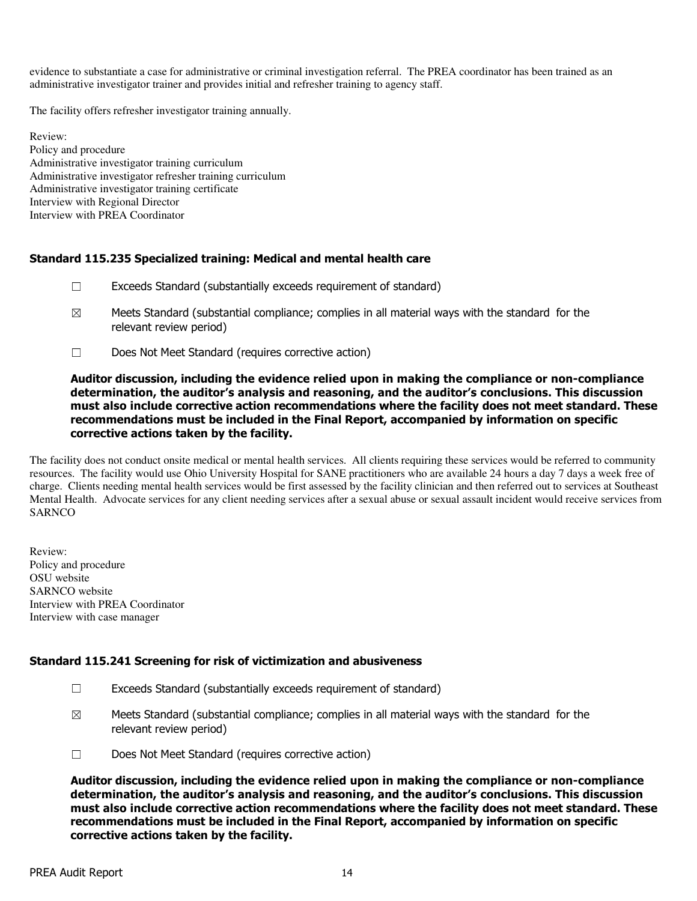evidence to substantiate a case for administrative or criminal investigation referral. The PREA coordinator has been trained as an administrative investigator trainer and provides initial and refresher training to agency staff.

The facility offers refresher investigator training annually.

Review: Policy and procedure Administrative investigator training curriculum Administrative investigator refresher training curriculum Administrative investigator training certificate Interview with Regional Director Interview with PREA Coordinator

### Standard 115.235 Specialized training: Medical and mental health care

- ☐ Exceeds Standard (substantially exceeds requirement of standard)
- $\boxtimes$  Meets Standard (substantial compliance; complies in all material ways with the standard for the relevant review period)
- ☐ Does Not Meet Standard (requires corrective action)

### Auditor discussion, including the evidence relied upon in making the compliance or non-compliance determination, the auditor's analysis and reasoning, and the auditor's conclusions. This discussion must also include corrective action recommendations where the facility does not meet standard. These recommendations must be included in the Final Report, accompanied by information on specific corrective actions taken by the facility.

The facility does not conduct onsite medical or mental health services. All clients requiring these services would be referred to community resources. The facility would use Ohio University Hospital for SANE practitioners who are available 24 hours a day 7 days a week free of charge. Clients needing mental health services would be first assessed by the facility clinician and then referred out to services at Southeast Mental Health. Advocate services for any client needing services after a sexual abuse or sexual assault incident would receive services from **SARNCO** 

Review: Policy and procedure OSU website SARNCO website Interview with PREA Coordinator Interview with case manager

#### Standard 115.241 Screening for risk of victimization and abusiveness

- ☐ Exceeds Standard (substantially exceeds requirement of standard)
- $\boxtimes$  Meets Standard (substantial compliance; complies in all material ways with the standard for the relevant review period)
- ☐ Does Not Meet Standard (requires corrective action)

Auditor discussion, including the evidence relied upon in making the compliance or non-compliance determination, the auditor's analysis and reasoning, and the auditor's conclusions. This discussion must also include corrective action recommendations where the facility does not meet standard. These recommendations must be included in the Final Report, accompanied by information on specific corrective actions taken by the facility.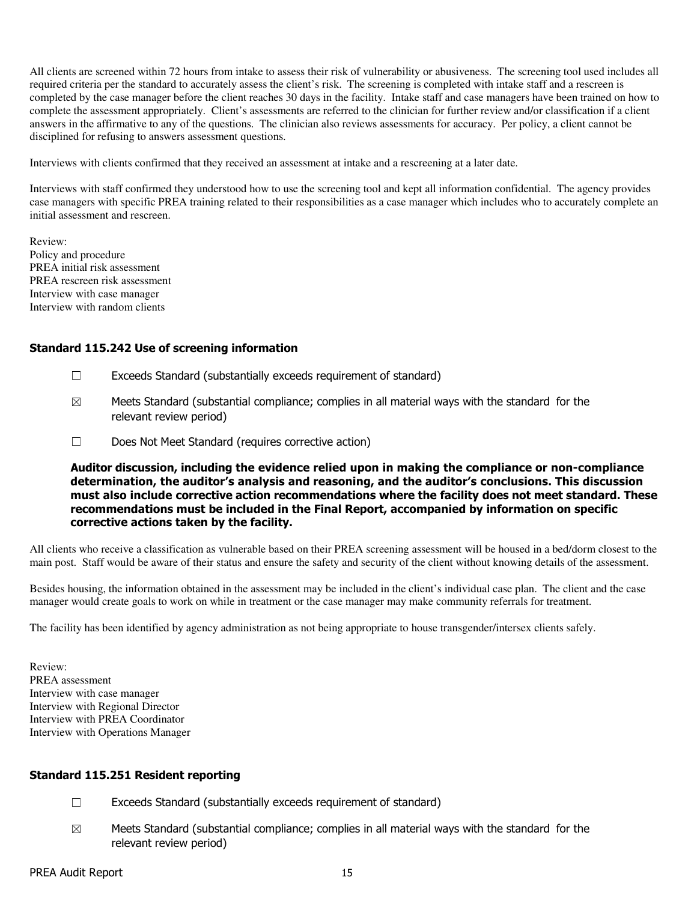All clients are screened within 72 hours from intake to assess their risk of vulnerability or abusiveness. The screening tool used includes all required criteria per the standard to accurately assess the client's risk. The screening is completed with intake staff and a rescreen is completed by the case manager before the client reaches 30 days in the facility. Intake staff and case managers have been trained on how to complete the assessment appropriately. Client's assessments are referred to the clinician for further review and/or classification if a client answers in the affirmative to any of the questions. The clinician also reviews assessments for accuracy. Per policy, a client cannot be disciplined for refusing to answers assessment questions.

Interviews with clients confirmed that they received an assessment at intake and a rescreening at a later date.

Interviews with staff confirmed they understood how to use the screening tool and kept all information confidential. The agency provides case managers with specific PREA training related to their responsibilities as a case manager which includes who to accurately complete an initial assessment and rescreen.

Review: Policy and procedure PREA initial risk assessment PREA rescreen risk assessment Interview with case manager Interview with random clients

### Standard 115.242 Use of screening information

- ☐ Exceeds Standard (substantially exceeds requirement of standard)
- $\boxtimes$  Meets Standard (substantial compliance; complies in all material ways with the standard for the relevant review period)
- ☐ Does Not Meet Standard (requires corrective action)

Auditor discussion, including the evidence relied upon in making the compliance or non-compliance determination, the auditor's analysis and reasoning, and the auditor's conclusions. This discussion must also include corrective action recommendations where the facility does not meet standard. These recommendations must be included in the Final Report, accompanied by information on specific corrective actions taken by the facility.

All clients who receive a classification as vulnerable based on their PREA screening assessment will be housed in a bed/dorm closest to the main post. Staff would be aware of their status and ensure the safety and security of the client without knowing details of the assessment.

Besides housing, the information obtained in the assessment may be included in the client's individual case plan. The client and the case manager would create goals to work on while in treatment or the case manager may make community referrals for treatment.

The facility has been identified by agency administration as not being appropriate to house transgender/intersex clients safely.

Review: PREA assessment Interview with case manager Interview with Regional Director Interview with PREA Coordinator Interview with Operations Manager

#### Standard 115.251 Resident reporting

- ☐ Exceeds Standard (substantially exceeds requirement of standard)
- $\boxtimes$  Meets Standard (substantial compliance; complies in all material ways with the standard for the relevant review period)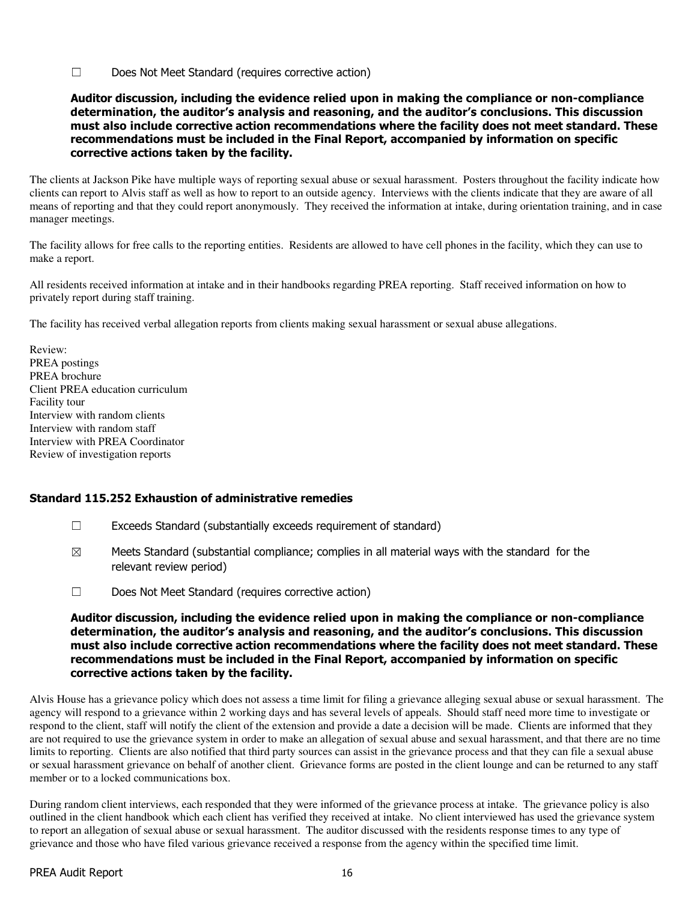☐ Does Not Meet Standard (requires corrective action)

Auditor discussion, including the evidence relied upon in making the compliance or non-compliance determination, the auditor's analysis and reasoning, and the auditor's conclusions. This discussion must also include corrective action recommendations where the facility does not meet standard. These recommendations must be included in the Final Report, accompanied by information on specific corrective actions taken by the facility.

The clients at Jackson Pike have multiple ways of reporting sexual abuse or sexual harassment. Posters throughout the facility indicate how clients can report to Alvis staff as well as how to report to an outside agency. Interviews with the clients indicate that they are aware of all means of reporting and that they could report anonymously. They received the information at intake, during orientation training, and in case manager meetings.

The facility allows for free calls to the reporting entities. Residents are allowed to have cell phones in the facility, which they can use to make a report.

All residents received information at intake and in their handbooks regarding PREA reporting. Staff received information on how to privately report during staff training.

The facility has received verbal allegation reports from clients making sexual harassment or sexual abuse allegations.

Review: PREA postings PREA brochure Client PREA education curriculum Facility tour Interview with random clients Interview with random staff Interview with PREA Coordinator Review of investigation reports

#### Standard 115.252 Exhaustion of administrative remedies

- ☐ Exceeds Standard (substantially exceeds requirement of standard)
- $\boxtimes$  Meets Standard (substantial compliance; complies in all material ways with the standard for the relevant review period)
- ☐ Does Not Meet Standard (requires corrective action)

### Auditor discussion, including the evidence relied upon in making the compliance or non-compliance determination, the auditor's analysis and reasoning, and the auditor's conclusions. This discussion must also include corrective action recommendations where the facility does not meet standard. These recommendations must be included in the Final Report, accompanied by information on specific corrective actions taken by the facility.

Alvis House has a grievance policy which does not assess a time limit for filing a grievance alleging sexual abuse or sexual harassment. The agency will respond to a grievance within 2 working days and has several levels of appeals. Should staff need more time to investigate or respond to the client, staff will notify the client of the extension and provide a date a decision will be made. Clients are informed that they are not required to use the grievance system in order to make an allegation of sexual abuse and sexual harassment, and that there are no time limits to reporting. Clients are also notified that third party sources can assist in the grievance process and that they can file a sexual abuse or sexual harassment grievance on behalf of another client. Grievance forms are posted in the client lounge and can be returned to any staff member or to a locked communications box.

During random client interviews, each responded that they were informed of the grievance process at intake. The grievance policy is also outlined in the client handbook which each client has verified they received at intake. No client interviewed has used the grievance system to report an allegation of sexual abuse or sexual harassment. The auditor discussed with the residents response times to any type of grievance and those who have filed various grievance received a response from the agency within the specified time limit.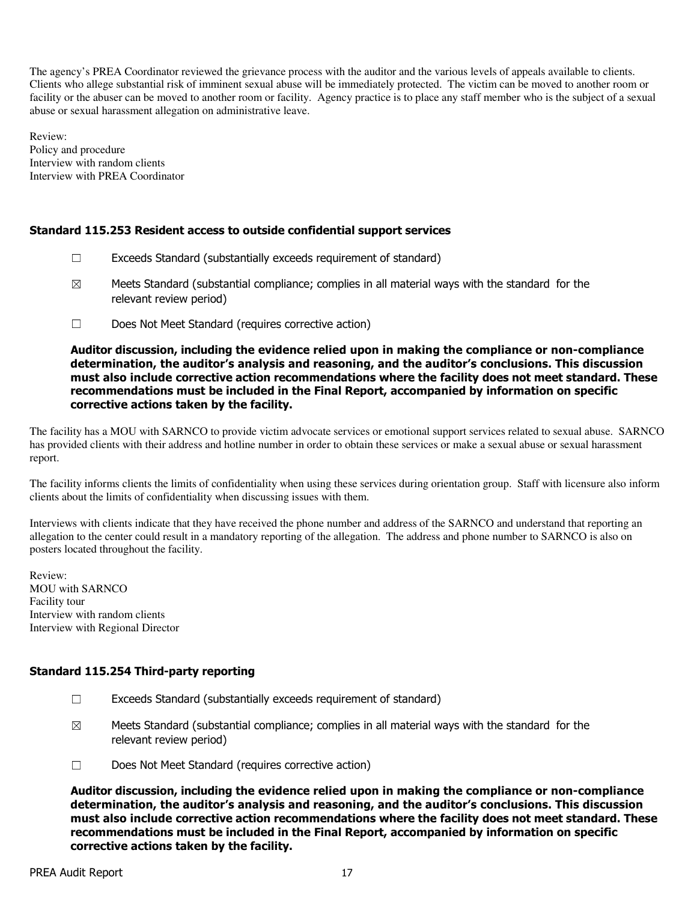The agency's PREA Coordinator reviewed the grievance process with the auditor and the various levels of appeals available to clients. Clients who allege substantial risk of imminent sexual abuse will be immediately protected. The victim can be moved to another room or facility or the abuser can be moved to another room or facility. Agency practice is to place any staff member who is the subject of a sexual abuse or sexual harassment allegation on administrative leave.

Review: Policy and procedure Interview with random clients Interview with PREA Coordinator

### Standard 115.253 Resident access to outside confidential support services

- $\Box$  Exceeds Standard (substantially exceeds requirement of standard)
- $\boxtimes$  Meets Standard (substantial compliance; complies in all material ways with the standard for the relevant review period)
- ☐ Does Not Meet Standard (requires corrective action)

Auditor discussion, including the evidence relied upon in making the compliance or non-compliance determination, the auditor's analysis and reasoning, and the auditor's conclusions. This discussion must also include corrective action recommendations where the facility does not meet standard. These recommendations must be included in the Final Report, accompanied by information on specific corrective actions taken by the facility.

The facility has a MOU with SARNCO to provide victim advocate services or emotional support services related to sexual abuse. SARNCO has provided clients with their address and hotline number in order to obtain these services or make a sexual abuse or sexual harassment report.

The facility informs clients the limits of confidentiality when using these services during orientation group. Staff with licensure also inform clients about the limits of confidentiality when discussing issues with them.

Interviews with clients indicate that they have received the phone number and address of the SARNCO and understand that reporting an allegation to the center could result in a mandatory reporting of the allegation. The address and phone number to SARNCO is also on posters located throughout the facility.

Review: MOU with SARNCO Facility tour Interview with random clients Interview with Regional Director

### Standard 115.254 Third-party reporting

- $\Box$  Exceeds Standard (substantially exceeds requirement of standard)
- $\boxtimes$  Meets Standard (substantial compliance; complies in all material ways with the standard for the relevant review period)
- ☐ Does Not Meet Standard (requires corrective action)

Auditor discussion, including the evidence relied upon in making the compliance or non-compliance determination, the auditor's analysis and reasoning, and the auditor's conclusions. This discussion must also include corrective action recommendations where the facility does not meet standard. These recommendations must be included in the Final Report, accompanied by information on specific corrective actions taken by the facility.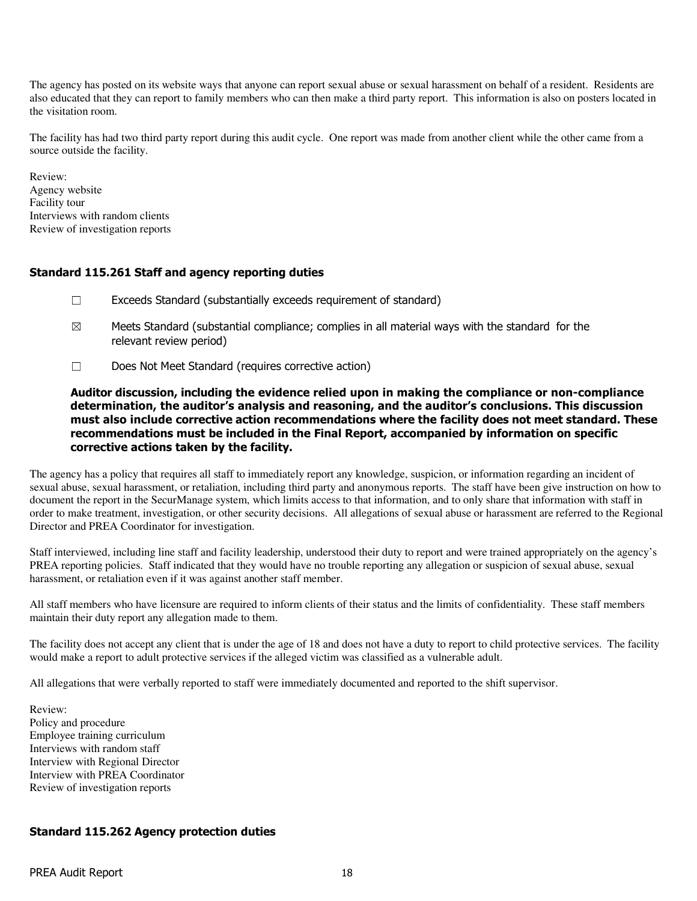The agency has posted on its website ways that anyone can report sexual abuse or sexual harassment on behalf of a resident. Residents are also educated that they can report to family members who can then make a third party report. This information is also on posters located in the visitation room.

The facility has had two third party report during this audit cycle. One report was made from another client while the other came from a source outside the facility.

Review: Agency website Facility tour Interviews with random clients Review of investigation reports

# Standard 115.261 Staff and agency reporting duties

- ☐ Exceeds Standard (substantially exceeds requirement of standard)
- $\boxtimes$  Meets Standard (substantial compliance; complies in all material ways with the standard for the relevant review period)
- ☐ Does Not Meet Standard (requires corrective action)

Auditor discussion, including the evidence relied upon in making the compliance or non-compliance determination, the auditor's analysis and reasoning, and the auditor's conclusions. This discussion must also include corrective action recommendations where the facility does not meet standard. These recommendations must be included in the Final Report, accompanied by information on specific corrective actions taken by the facility.

The agency has a policy that requires all staff to immediately report any knowledge, suspicion, or information regarding an incident of sexual abuse, sexual harassment, or retaliation, including third party and anonymous reports. The staff have been give instruction on how to document the report in the SecurManage system, which limits access to that information, and to only share that information with staff in order to make treatment, investigation, or other security decisions. All allegations of sexual abuse or harassment are referred to the Regional Director and PREA Coordinator for investigation.

Staff interviewed, including line staff and facility leadership, understood their duty to report and were trained appropriately on the agency's PREA reporting policies. Staff indicated that they would have no trouble reporting any allegation or suspicion of sexual abuse, sexual harassment, or retaliation even if it was against another staff member.

All staff members who have licensure are required to inform clients of their status and the limits of confidentiality. These staff members maintain their duty report any allegation made to them.

The facility does not accept any client that is under the age of 18 and does not have a duty to report to child protective services. The facility would make a report to adult protective services if the alleged victim was classified as a vulnerable adult.

All allegations that were verbally reported to staff were immediately documented and reported to the shift supervisor.

Review: Policy and procedure Employee training curriculum Interviews with random staff Interview with Regional Director Interview with PREA Coordinator Review of investigation reports

### Standard 115.262 Agency protection duties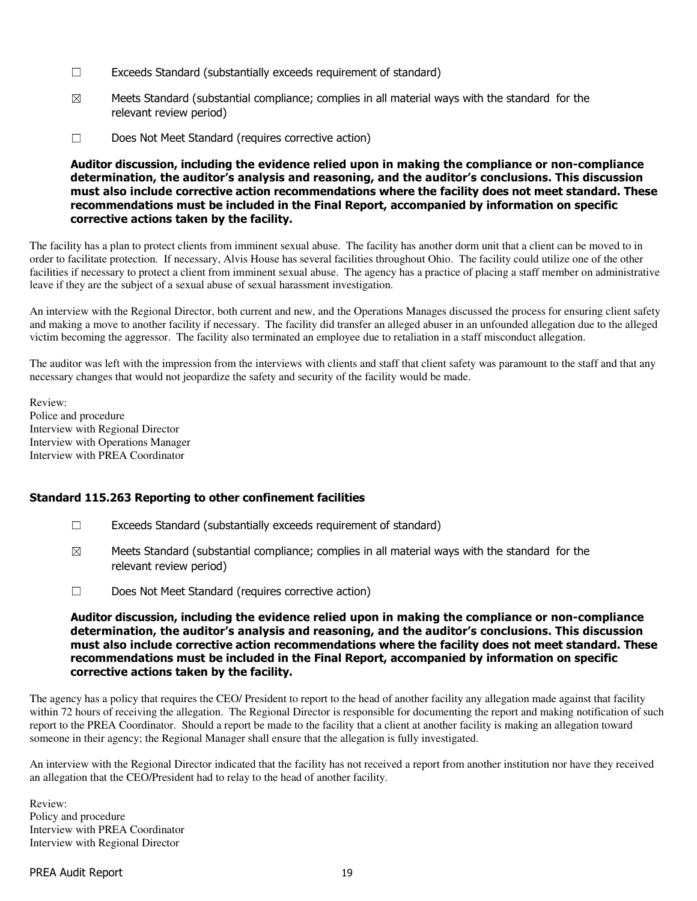- ☐ Exceeds Standard (substantially exceeds requirement of standard)
- $\boxtimes$  Meets Standard (substantial compliance; complies in all material ways with the standard for the relevant review period)
- ☐ Does Not Meet Standard (requires corrective action)

Auditor discussion, including the evidence relied upon in making the compliance or non-compliance determination, the auditor's analysis and reasoning, and the auditor's conclusions. This discussion must also include corrective action recommendations where the facility does not meet standard. These recommendations must be included in the Final Report, accompanied by information on specific corrective actions taken by the facility.

The facility has a plan to protect clients from imminent sexual abuse. The facility has another dorm unit that a client can be moved to in order to facilitate protection. If necessary, Alvis House has several facilities throughout Ohio. The facility could utilize one of the other facilities if necessary to protect a client from imminent sexual abuse. The agency has a practice of placing a staff member on administrative leave if they are the subject of a sexual abuse of sexual harassment investigation.

An interview with the Regional Director, both current and new, and the Operations Manages discussed the process for ensuring client safety and making a move to another facility if necessary. The facility did transfer an alleged abuser in an unfounded allegation due to the alleged victim becoming the aggressor. The facility also terminated an employee due to retaliation in a staff misconduct allegation.

The auditor was left with the impression from the interviews with clients and staff that client safety was paramount to the staff and that any necessary changes that would not jeopardize the safety and security of the facility would be made.

Review: Police and procedure Interview with Regional Director Interview with Operations Manager Interview with PREA Coordinator

### Standard 115.263 Reporting to other confinement facilities

- ☐ Exceeds Standard (substantially exceeds requirement of standard)
- $\boxtimes$  Meets Standard (substantial compliance; complies in all material ways with the standard for the relevant review period)
- ☐ Does Not Meet Standard (requires corrective action)

### Auditor discussion, including the evidence relied upon in making the compliance or non-compliance determination, the auditor's analysis and reasoning, and the auditor's conclusions. This discussion must also include corrective action recommendations where the facility does not meet standard. These recommendations must be included in the Final Report, accompanied by information on specific corrective actions taken by the facility.

The agency has a policy that requires the CEO/ President to report to the head of another facility any allegation made against that facility within 72 hours of receiving the allegation. The Regional Director is responsible for documenting the report and making notification of such report to the PREA Coordinator. Should a report be made to the facility that a client at another facility is making an allegation toward someone in their agency; the Regional Manager shall ensure that the allegation is fully investigated.

An interview with the Regional Director indicated that the facility has not received a report from another institution nor have they received an allegation that the CEO/President had to relay to the head of another facility.

Review: Policy and procedure Interview with PREA Coordinator Interview with Regional Director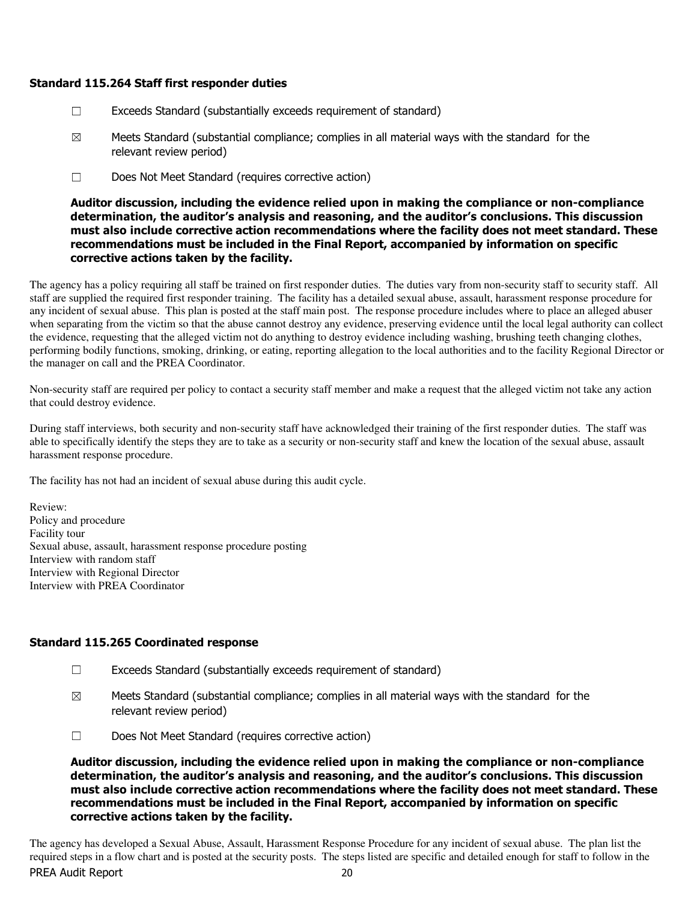### Standard 115.264 Staff first responder duties

- $\Box$  Exceeds Standard (substantially exceeds requirement of standard)
- $\boxtimes$  Meets Standard (substantial compliance; complies in all material ways with the standard for the relevant review period)
- ☐ Does Not Meet Standard (requires corrective action)

Auditor discussion, including the evidence relied upon in making the compliance or non-compliance determination, the auditor's analysis and reasoning, and the auditor's conclusions. This discussion must also include corrective action recommendations where the facility does not meet standard. These recommendations must be included in the Final Report, accompanied by information on specific corrective actions taken by the facility.

The agency has a policy requiring all staff be trained on first responder duties. The duties vary from non-security staff to security staff. All staff are supplied the required first responder training. The facility has a detailed sexual abuse, assault, harassment response procedure for any incident of sexual abuse. This plan is posted at the staff main post. The response procedure includes where to place an alleged abuser when separating from the victim so that the abuse cannot destroy any evidence, preserving evidence until the local legal authority can collect the evidence, requesting that the alleged victim not do anything to destroy evidence including washing, brushing teeth changing clothes, performing bodily functions, smoking, drinking, or eating, reporting allegation to the local authorities and to the facility Regional Director or the manager on call and the PREA Coordinator.

Non-security staff are required per policy to contact a security staff member and make a request that the alleged victim not take any action that could destroy evidence.

During staff interviews, both security and non-security staff have acknowledged their training of the first responder duties. The staff was able to specifically identify the steps they are to take as a security or non-security staff and knew the location of the sexual abuse, assault harassment response procedure.

The facility has not had an incident of sexual abuse during this audit cycle.

Review: Policy and procedure Facility tour Sexual abuse, assault, harassment response procedure posting Interview with random staff Interview with Regional Director Interview with PREA Coordinator

#### Standard 115.265 Coordinated response

- ☐ Exceeds Standard (substantially exceeds requirement of standard)
- $\boxtimes$  Meets Standard (substantial compliance; complies in all material ways with the standard for the relevant review period)
- ☐ Does Not Meet Standard (requires corrective action)

Auditor discussion, including the evidence relied upon in making the compliance or non-compliance determination, the auditor's analysis and reasoning, and the auditor's conclusions. This discussion must also include corrective action recommendations where the facility does not meet standard. These recommendations must be included in the Final Report, accompanied by information on specific corrective actions taken by the facility.

The agency has developed a Sexual Abuse, Assault, Harassment Response Procedure for any incident of sexual abuse. The plan list the required steps in a flow chart and is posted at the security posts. The steps listed are specific and detailed enough for staff to follow in the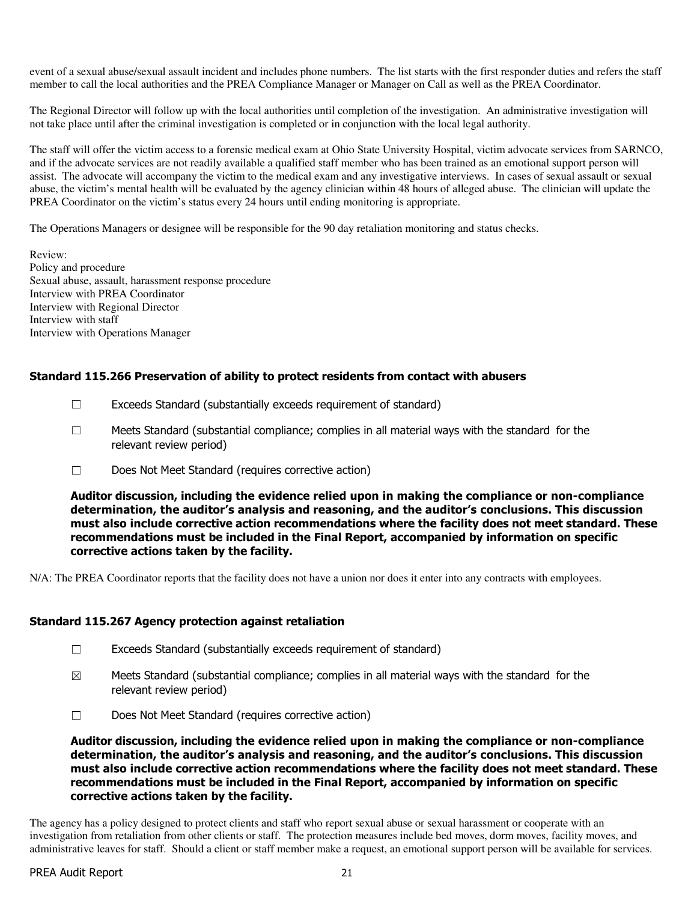event of a sexual abuse/sexual assault incident and includes phone numbers. The list starts with the first responder duties and refers the staff member to call the local authorities and the PREA Compliance Manager or Manager on Call as well as the PREA Coordinator.

The Regional Director will follow up with the local authorities until completion of the investigation. An administrative investigation will not take place until after the criminal investigation is completed or in conjunction with the local legal authority.

The staff will offer the victim access to a forensic medical exam at Ohio State University Hospital, victim advocate services from SARNCO, and if the advocate services are not readily available a qualified staff member who has been trained as an emotional support person will assist. The advocate will accompany the victim to the medical exam and any investigative interviews. In cases of sexual assault or sexual abuse, the victim's mental health will be evaluated by the agency clinician within 48 hours of alleged abuse. The clinician will update the PREA Coordinator on the victim's status every 24 hours until ending monitoring is appropriate.

The Operations Managers or designee will be responsible for the 90 day retaliation monitoring and status checks.

Review: Policy and procedure Sexual abuse, assault, harassment response procedure Interview with PREA Coordinator Interview with Regional Director Interview with staff Interview with Operations Manager

# Standard 115.266 Preservation of ability to protect residents from contact with abusers

- $\Box$  Exceeds Standard (substantially exceeds requirement of standard)
- ☐ Meets Standard (substantial compliance; complies in all material ways with the standard for the relevant review period)
- ☐ Does Not Meet Standard (requires corrective action)

Auditor discussion, including the evidence relied upon in making the compliance or non-compliance determination, the auditor's analysis and reasoning, and the auditor's conclusions. This discussion must also include corrective action recommendations where the facility does not meet standard. These recommendations must be included in the Final Report, accompanied by information on specific corrective actions taken by the facility.

N/A: The PREA Coordinator reports that the facility does not have a union nor does it enter into any contracts with employees.

#### Standard 115.267 Agency protection against retaliation

- ☐ Exceeds Standard (substantially exceeds requirement of standard)
- $\boxtimes$  Meets Standard (substantial compliance; complies in all material ways with the standard for the relevant review period)
- ☐ Does Not Meet Standard (requires corrective action)

Auditor discussion, including the evidence relied upon in making the compliance or non-compliance determination, the auditor's analysis and reasoning, and the auditor's conclusions. This discussion must also include corrective action recommendations where the facility does not meet standard. These recommendations must be included in the Final Report, accompanied by information on specific corrective actions taken by the facility.

The agency has a policy designed to protect clients and staff who report sexual abuse or sexual harassment or cooperate with an investigation from retaliation from other clients or staff. The protection measures include bed moves, dorm moves, facility moves, and administrative leaves for staff. Should a client or staff member make a request, an emotional support person will be available for services.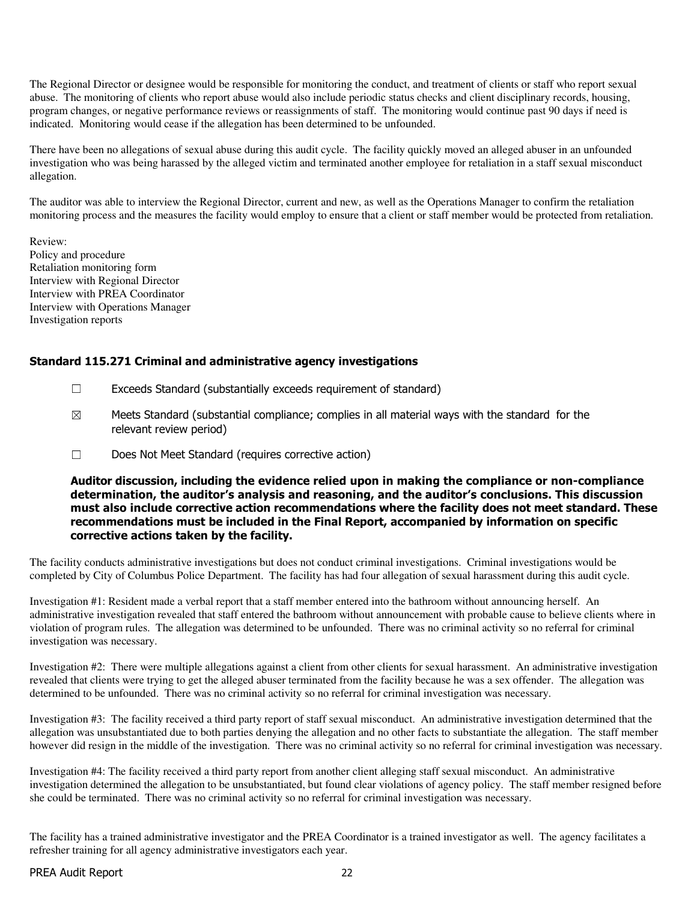The Regional Director or designee would be responsible for monitoring the conduct, and treatment of clients or staff who report sexual abuse. The monitoring of clients who report abuse would also include periodic status checks and client disciplinary records, housing, program changes, or negative performance reviews or reassignments of staff. The monitoring would continue past 90 days if need is indicated. Monitoring would cease if the allegation has been determined to be unfounded.

There have been no allegations of sexual abuse during this audit cycle. The facility quickly moved an alleged abuser in an unfounded investigation who was being harassed by the alleged victim and terminated another employee for retaliation in a staff sexual misconduct allegation.

The auditor was able to interview the Regional Director, current and new, as well as the Operations Manager to confirm the retaliation monitoring process and the measures the facility would employ to ensure that a client or staff member would be protected from retaliation.

Review: Policy and procedure Retaliation monitoring form Interview with Regional Director Interview with PREA Coordinator Interview with Operations Manager Investigation reports

### Standard 115.271 Criminal and administrative agency investigations

- ☐ Exceeds Standard (substantially exceeds requirement of standard)
- $\boxtimes$  Meets Standard (substantial compliance; complies in all material ways with the standard for the relevant review period)
- ☐ Does Not Meet Standard (requires corrective action)

Auditor discussion, including the evidence relied upon in making the compliance or non-compliance determination, the auditor's analysis and reasoning, and the auditor's conclusions. This discussion must also include corrective action recommendations where the facility does not meet standard. These recommendations must be included in the Final Report, accompanied by information on specific corrective actions taken by the facility.

The facility conducts administrative investigations but does not conduct criminal investigations. Criminal investigations would be completed by City of Columbus Police Department. The facility has had four allegation of sexual harassment during this audit cycle.

Investigation #1: Resident made a verbal report that a staff member entered into the bathroom without announcing herself. An administrative investigation revealed that staff entered the bathroom without announcement with probable cause to believe clients where in violation of program rules. The allegation was determined to be unfounded. There was no criminal activity so no referral for criminal investigation was necessary.

Investigation #2: There were multiple allegations against a client from other clients for sexual harassment. An administrative investigation revealed that clients were trying to get the alleged abuser terminated from the facility because he was a sex offender. The allegation was determined to be unfounded. There was no criminal activity so no referral for criminal investigation was necessary.

Investigation #3: The facility received a third party report of staff sexual misconduct. An administrative investigation determined that the allegation was unsubstantiated due to both parties denying the allegation and no other facts to substantiate the allegation. The staff member however did resign in the middle of the investigation. There was no criminal activity so no referral for criminal investigation was necessary.

Investigation #4: The facility received a third party report from another client alleging staff sexual misconduct. An administrative investigation determined the allegation to be unsubstantiated, but found clear violations of agency policy. The staff member resigned before she could be terminated. There was no criminal activity so no referral for criminal investigation was necessary.

The facility has a trained administrative investigator and the PREA Coordinator is a trained investigator as well. The agency facilitates a refresher training for all agency administrative investigators each year.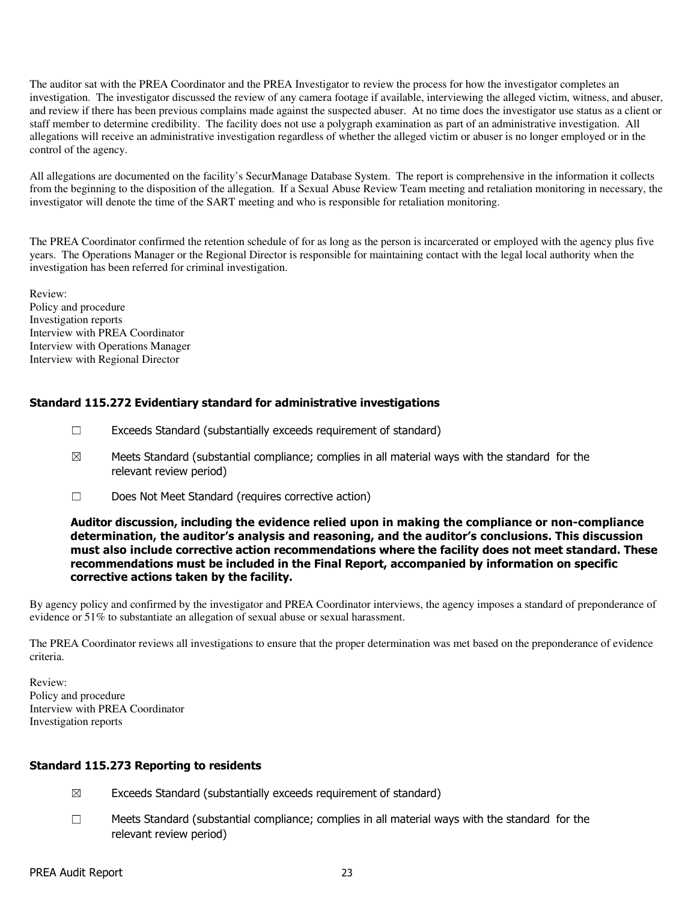The auditor sat with the PREA Coordinator and the PREA Investigator to review the process for how the investigator completes an investigation. The investigator discussed the review of any camera footage if available, interviewing the alleged victim, witness, and abuser, and review if there has been previous complains made against the suspected abuser. At no time does the investigator use status as a client or staff member to determine credibility. The facility does not use a polygraph examination as part of an administrative investigation. All allegations will receive an administrative investigation regardless of whether the alleged victim or abuser is no longer employed or in the control of the agency.

All allegations are documented on the facility's SecurManage Database System. The report is comprehensive in the information it collects from the beginning to the disposition of the allegation. If a Sexual Abuse Review Team meeting and retaliation monitoring in necessary, the investigator will denote the time of the SART meeting and who is responsible for retaliation monitoring.

The PREA Coordinator confirmed the retention schedule of for as long as the person is incarcerated or employed with the agency plus five years. The Operations Manager or the Regional Director is responsible for maintaining contact with the legal local authority when the investigation has been referred for criminal investigation.

Review: Policy and procedure Investigation reports Interview with PREA Coordinator Interview with Operations Manager Interview with Regional Director

# Standard 115.272 Evidentiary standard for administrative investigations

- ☐ Exceeds Standard (substantially exceeds requirement of standard)
- $\boxtimes$  Meets Standard (substantial compliance; complies in all material ways with the standard for the relevant review period)
- ☐ Does Not Meet Standard (requires corrective action)

### Auditor discussion, including the evidence relied upon in making the compliance or non-compliance determination, the auditor's analysis and reasoning, and the auditor's conclusions. This discussion must also include corrective action recommendations where the facility does not meet standard. These recommendations must be included in the Final Report, accompanied by information on specific corrective actions taken by the facility.

By agency policy and confirmed by the investigator and PREA Coordinator interviews, the agency imposes a standard of preponderance of evidence or 51% to substantiate an allegation of sexual abuse or sexual harassment.

The PREA Coordinator reviews all investigations to ensure that the proper determination was met based on the preponderance of evidence criteria.

Review: Policy and procedure Interview with PREA Coordinator Investigation reports

### Standard 115.273 Reporting to residents

- $\boxtimes$  Exceeds Standard (substantially exceeds requirement of standard)
- ☐ Meets Standard (substantial compliance; complies in all material ways with the standard for the relevant review period)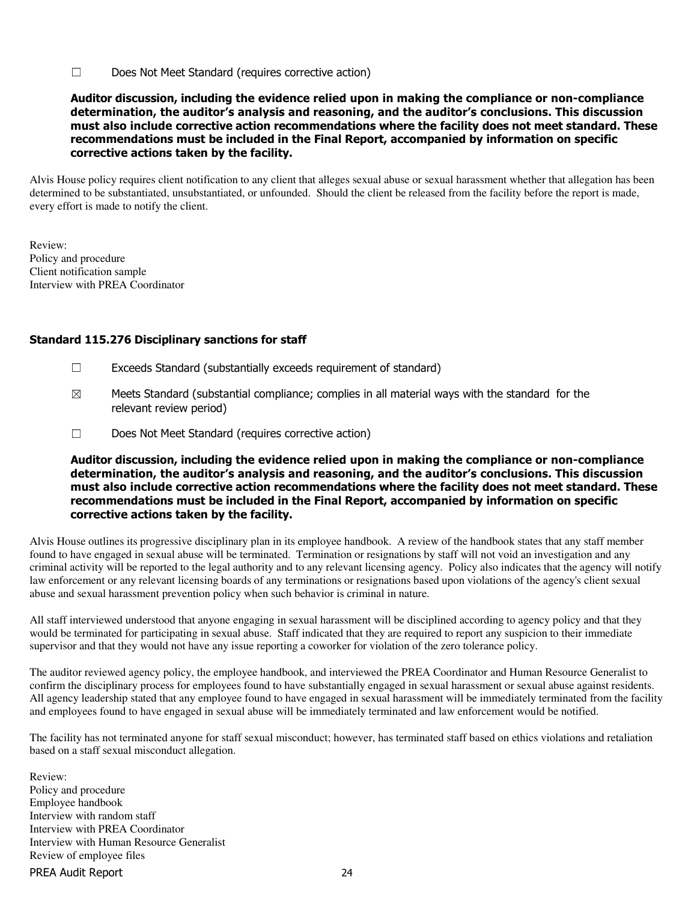☐ Does Not Meet Standard (requires corrective action)

Auditor discussion, including the evidence relied upon in making the compliance or non-compliance determination, the auditor's analysis and reasoning, and the auditor's conclusions. This discussion must also include corrective action recommendations where the facility does not meet standard. These recommendations must be included in the Final Report, accompanied by information on specific corrective actions taken by the facility.

Alvis House policy requires client notification to any client that alleges sexual abuse or sexual harassment whether that allegation has been determined to be substantiated, unsubstantiated, or unfounded. Should the client be released from the facility before the report is made, every effort is made to notify the client.

Review: Policy and procedure Client notification sample Interview with PREA Coordinator

### Standard 115.276 Disciplinary sanctions for staff

- ☐ Exceeds Standard (substantially exceeds requirement of standard)
- $\boxtimes$  Meets Standard (substantial compliance; complies in all material ways with the standard for the relevant review period)
- ☐ Does Not Meet Standard (requires corrective action)

Auditor discussion, including the evidence relied upon in making the compliance or non-compliance determination, the auditor's analysis and reasoning, and the auditor's conclusions. This discussion must also include corrective action recommendations where the facility does not meet standard. These recommendations must be included in the Final Report, accompanied by information on specific corrective actions taken by the facility.

Alvis House outlines its progressive disciplinary plan in its employee handbook. A review of the handbook states that any staff member found to have engaged in sexual abuse will be terminated. Termination or resignations by staff will not void an investigation and any criminal activity will be reported to the legal authority and to any relevant licensing agency. Policy also indicates that the agency will notify law enforcement or any relevant licensing boards of any terminations or resignations based upon violations of the agency's client sexual abuse and sexual harassment prevention policy when such behavior is criminal in nature.

All staff interviewed understood that anyone engaging in sexual harassment will be disciplined according to agency policy and that they would be terminated for participating in sexual abuse. Staff indicated that they are required to report any suspicion to their immediate supervisor and that they would not have any issue reporting a coworker for violation of the zero tolerance policy.

The auditor reviewed agency policy, the employee handbook, and interviewed the PREA Coordinator and Human Resource Generalist to confirm the disciplinary process for employees found to have substantially engaged in sexual harassment or sexual abuse against residents. All agency leadership stated that any employee found to have engaged in sexual harassment will be immediately terminated from the facility and employees found to have engaged in sexual abuse will be immediately terminated and law enforcement would be notified.

The facility has not terminated anyone for staff sexual misconduct; however, has terminated staff based on ethics violations and retaliation based on a staff sexual misconduct allegation.

PREA Audit Report 24 Review: Policy and procedure Employee handbook Interview with random staff Interview with PREA Coordinator Interview with Human Resource Generalist Review of employee files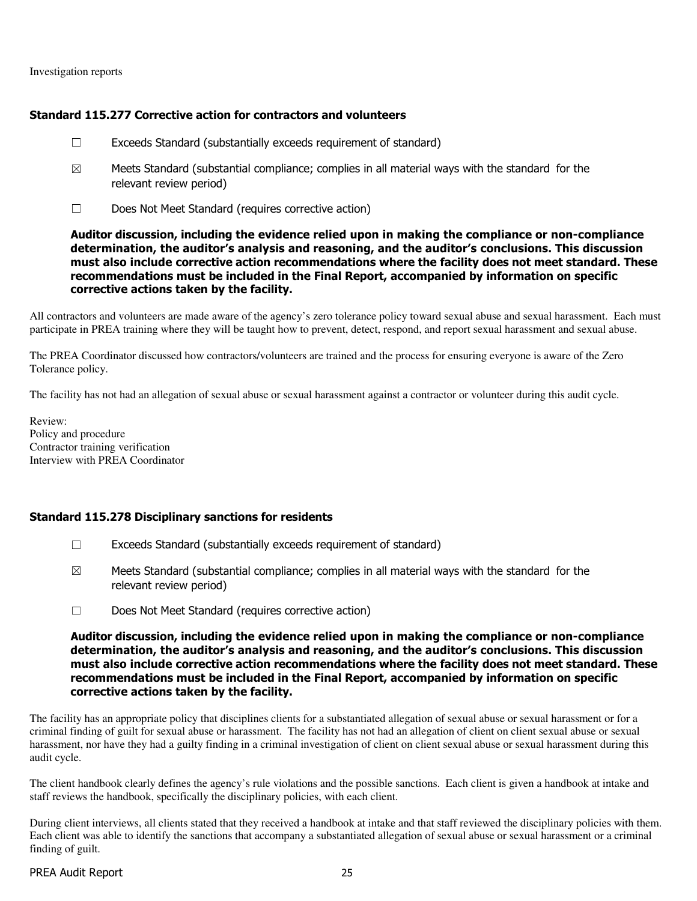Investigation reports

### Standard 115.277 Corrective action for contractors and volunteers

- $\Box$  Exceeds Standard (substantially exceeds requirement of standard)
- $\boxtimes$  Meets Standard (substantial compliance; complies in all material ways with the standard for the relevant review period)
- ☐ Does Not Meet Standard (requires corrective action)

### Auditor discussion, including the evidence relied upon in making the compliance or non-compliance determination, the auditor's analysis and reasoning, and the auditor's conclusions. This discussion must also include corrective action recommendations where the facility does not meet standard. These recommendations must be included in the Final Report, accompanied by information on specific corrective actions taken by the facility.

All contractors and volunteers are made aware of the agency's zero tolerance policy toward sexual abuse and sexual harassment. Each must participate in PREA training where they will be taught how to prevent, detect, respond, and report sexual harassment and sexual abuse.

The PREA Coordinator discussed how contractors/volunteers are trained and the process for ensuring everyone is aware of the Zero Tolerance policy.

The facility has not had an allegation of sexual abuse or sexual harassment against a contractor or volunteer during this audit cycle.

Review: Policy and procedure Contractor training verification Interview with PREA Coordinator

### Standard 115.278 Disciplinary sanctions for residents

- ☐ Exceeds Standard (substantially exceeds requirement of standard)
- $\boxtimes$  Meets Standard (substantial compliance; complies in all material ways with the standard for the relevant review period)
- ☐ Does Not Meet Standard (requires corrective action)

#### Auditor discussion, including the evidence relied upon in making the compliance or non-compliance determination, the auditor's analysis and reasoning, and the auditor's conclusions. This discussion must also include corrective action recommendations where the facility does not meet standard. These recommendations must be included in the Final Report, accompanied by information on specific corrective actions taken by the facility.

The facility has an appropriate policy that disciplines clients for a substantiated allegation of sexual abuse or sexual harassment or for a criminal finding of guilt for sexual abuse or harassment. The facility has not had an allegation of client on client sexual abuse or sexual harassment, nor have they had a guilty finding in a criminal investigation of client on client sexual abuse or sexual harassment during this audit cycle.

The client handbook clearly defines the agency's rule violations and the possible sanctions. Each client is given a handbook at intake and staff reviews the handbook, specifically the disciplinary policies, with each client.

During client interviews, all clients stated that they received a handbook at intake and that staff reviewed the disciplinary policies with them. Each client was able to identify the sanctions that accompany a substantiated allegation of sexual abuse or sexual harassment or a criminal finding of guilt.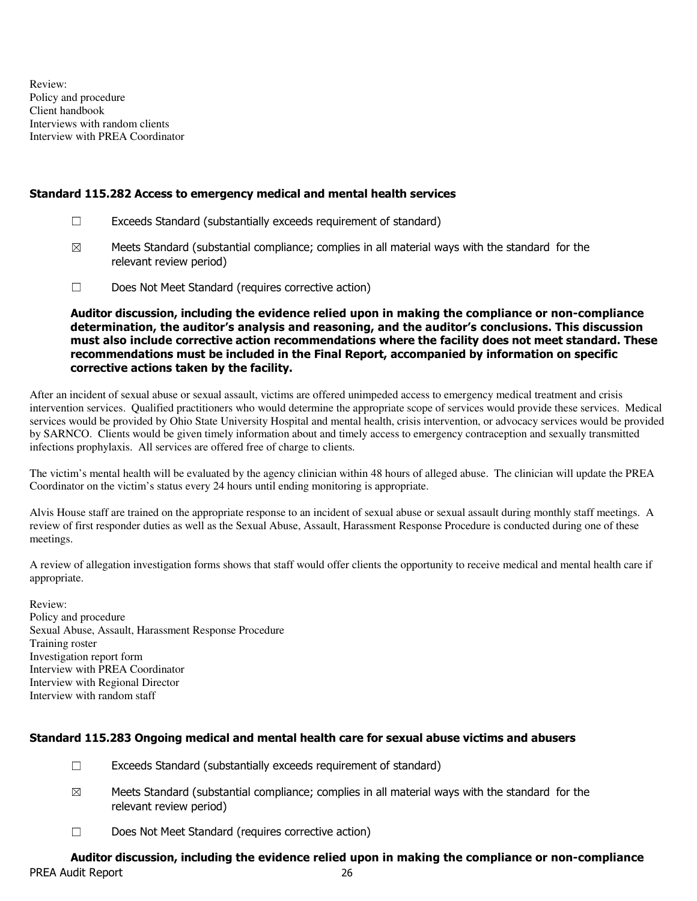Review: Policy and procedure Client handbook Interviews with random clients Interview with PREA Coordinator

### Standard 115.282 Access to emergency medical and mental health services

- $\Box$  Exceeds Standard (substantially exceeds requirement of standard)
- $\boxtimes$  Meets Standard (substantial compliance; complies in all material ways with the standard for the relevant review period)
- ☐ Does Not Meet Standard (requires corrective action)

Auditor discussion, including the evidence relied upon in making the compliance or non-compliance determination, the auditor's analysis and reasoning, and the auditor's conclusions. This discussion must also include corrective action recommendations where the facility does not meet standard. These recommendations must be included in the Final Report, accompanied by information on specific corrective actions taken by the facility.

After an incident of sexual abuse or sexual assault, victims are offered unimpeded access to emergency medical treatment and crisis intervention services. Qualified practitioners who would determine the appropriate scope of services would provide these services. Medical services would be provided by Ohio State University Hospital and mental health, crisis intervention, or advocacy services would be provided by SARNCO. Clients would be given timely information about and timely access to emergency contraception and sexually transmitted infections prophylaxis. All services are offered free of charge to clients.

The victim's mental health will be evaluated by the agency clinician within 48 hours of alleged abuse. The clinician will update the PREA Coordinator on the victim's status every 24 hours until ending monitoring is appropriate.

Alvis House staff are trained on the appropriate response to an incident of sexual abuse or sexual assault during monthly staff meetings. A review of first responder duties as well as the Sexual Abuse, Assault, Harassment Response Procedure is conducted during one of these meetings.

A review of allegation investigation forms shows that staff would offer clients the opportunity to receive medical and mental health care if appropriate.

Review: Policy and procedure Sexual Abuse, Assault, Harassment Response Procedure Training roster Investigation report form Interview with PREA Coordinator Interview with Regional Director Interview with random staff

### Standard 115.283 Ongoing medical and mental health care for sexual abuse victims and abusers

- ☐ Exceeds Standard (substantially exceeds requirement of standard)
- $\boxtimes$  Meets Standard (substantial compliance; complies in all material ways with the standard for the relevant review period)
- ☐ Does Not Meet Standard (requires corrective action)

#### PREA Audit Report 26 Auditor discussion, including the evidence relied upon in making the compliance or non-compliance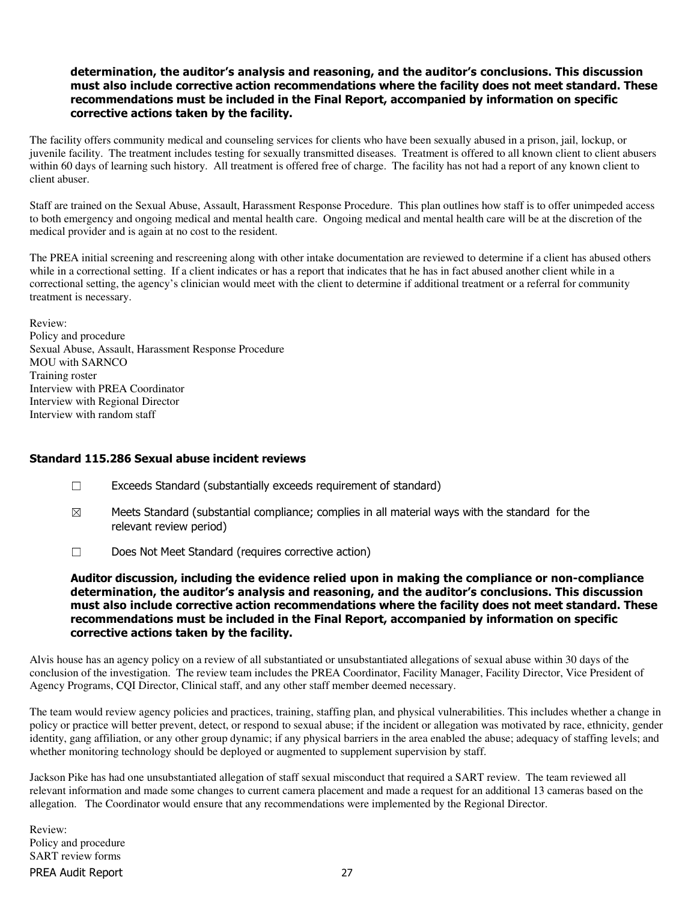### determination, the auditor's analysis and reasoning, and the auditor's conclusions. This discussion must also include corrective action recommendations where the facility does not meet standard. These recommendations must be included in the Final Report, accompanied by information on specific corrective actions taken by the facility.

The facility offers community medical and counseling services for clients who have been sexually abused in a prison, jail, lockup, or juvenile facility. The treatment includes testing for sexually transmitted diseases. Treatment is offered to all known client to client abusers within 60 days of learning such history. All treatment is offered free of charge. The facility has not had a report of any known client to client abuser.

Staff are trained on the Sexual Abuse, Assault, Harassment Response Procedure. This plan outlines how staff is to offer unimpeded access to both emergency and ongoing medical and mental health care. Ongoing medical and mental health care will be at the discretion of the medical provider and is again at no cost to the resident.

The PREA initial screening and rescreening along with other intake documentation are reviewed to determine if a client has abused others while in a correctional setting. If a client indicates or has a report that indicates that he has in fact abused another client while in a correctional setting, the agency's clinician would meet with the client to determine if additional treatment or a referral for community treatment is necessary.

Review: Policy and procedure Sexual Abuse, Assault, Harassment Response Procedure MOU with SARNCO Training roster Interview with PREA Coordinator Interview with Regional Director Interview with random staff

### Standard 115.286 Sexual abuse incident reviews

- ☐ Exceeds Standard (substantially exceeds requirement of standard)
- $\boxtimes$  Meets Standard (substantial compliance; complies in all material ways with the standard for the relevant review period)
- ☐ Does Not Meet Standard (requires corrective action)

Auditor discussion, including the evidence relied upon in making the compliance or non-compliance determination, the auditor's analysis and reasoning, and the auditor's conclusions. This discussion must also include corrective action recommendations where the facility does not meet standard. These recommendations must be included in the Final Report, accompanied by information on specific corrective actions taken by the facility.

Alvis house has an agency policy on a review of all substantiated or unsubstantiated allegations of sexual abuse within 30 days of the conclusion of the investigation. The review team includes the PREA Coordinator, Facility Manager, Facility Director, Vice President of Agency Programs, CQI Director, Clinical staff, and any other staff member deemed necessary.

The team would review agency policies and practices, training, staffing plan, and physical vulnerabilities. This includes whether a change in policy or practice will better prevent, detect, or respond to sexual abuse; if the incident or allegation was motivated by race, ethnicity, gender identity, gang affiliation, or any other group dynamic; if any physical barriers in the area enabled the abuse; adequacy of staffing levels; and whether monitoring technology should be deployed or augmented to supplement supervision by staff.

Jackson Pike has had one unsubstantiated allegation of staff sexual misconduct that required a SART review. The team reviewed all relevant information and made some changes to current camera placement and made a request for an additional 13 cameras based on the allegation. The Coordinator would ensure that any recommendations were implemented by the Regional Director.

PREA Audit Report 27 Review: Policy and procedure SART review forms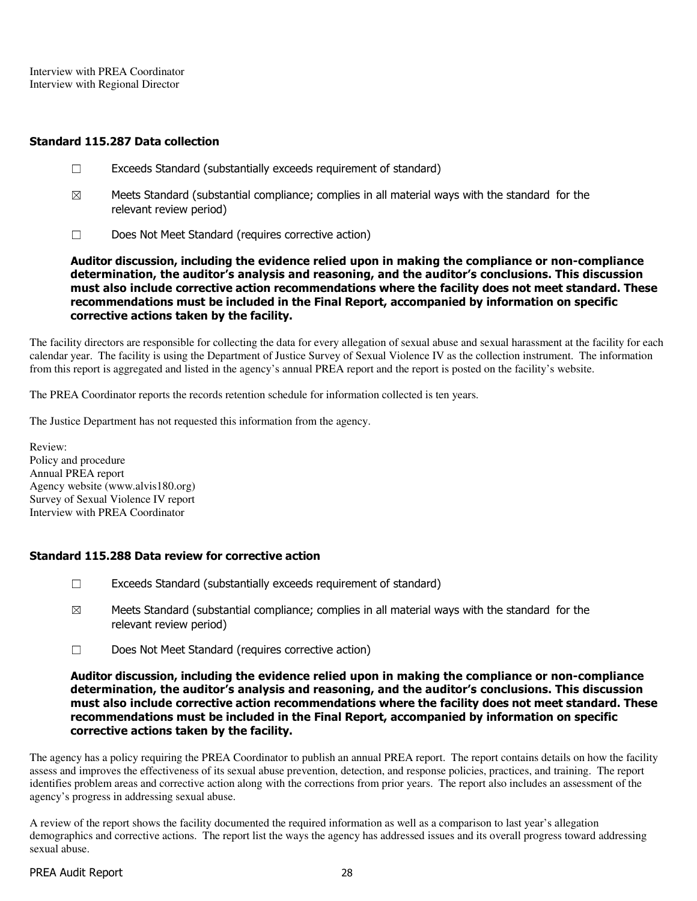Interview with PREA Coordinator Interview with Regional Director

### Standard 115.287 Data collection

- ☐ Exceeds Standard (substantially exceeds requirement of standard)
- $\boxtimes$  Meets Standard (substantial compliance; complies in all material ways with the standard for the relevant review period)
- ☐ Does Not Meet Standard (requires corrective action)

Auditor discussion, including the evidence relied upon in making the compliance or non-compliance determination, the auditor's analysis and reasoning, and the auditor's conclusions. This discussion must also include corrective action recommendations where the facility does not meet standard. These recommendations must be included in the Final Report, accompanied by information on specific corrective actions taken by the facility.

The facility directors are responsible for collecting the data for every allegation of sexual abuse and sexual harassment at the facility for each calendar year. The facility is using the Department of Justice Survey of Sexual Violence IV as the collection instrument. The information from this report is aggregated and listed in the agency's annual PREA report and the report is posted on the facility's website.

The PREA Coordinator reports the records retention schedule for information collected is ten years.

The Justice Department has not requested this information from the agency.

Review: Policy and procedure Annual PREA report Agency website (www.alvis180.org) Survey of Sexual Violence IV report Interview with PREA Coordinator

### Standard 115.288 Data review for corrective action

- $\Box$  Exceeds Standard (substantially exceeds requirement of standard)
- $\boxtimes$  Meets Standard (substantial compliance; complies in all material ways with the standard for the relevant review period)
- ☐ Does Not Meet Standard (requires corrective action)

### Auditor discussion, including the evidence relied upon in making the compliance or non-compliance determination, the auditor's analysis and reasoning, and the auditor's conclusions. This discussion must also include corrective action recommendations where the facility does not meet standard. These recommendations must be included in the Final Report, accompanied by information on specific corrective actions taken by the facility.

The agency has a policy requiring the PREA Coordinator to publish an annual PREA report. The report contains details on how the facility assess and improves the effectiveness of its sexual abuse prevention, detection, and response policies, practices, and training. The report identifies problem areas and corrective action along with the corrections from prior years. The report also includes an assessment of the agency's progress in addressing sexual abuse.

A review of the report shows the facility documented the required information as well as a comparison to last year's allegation demographics and corrective actions. The report list the ways the agency has addressed issues and its overall progress toward addressing sexual abuse.